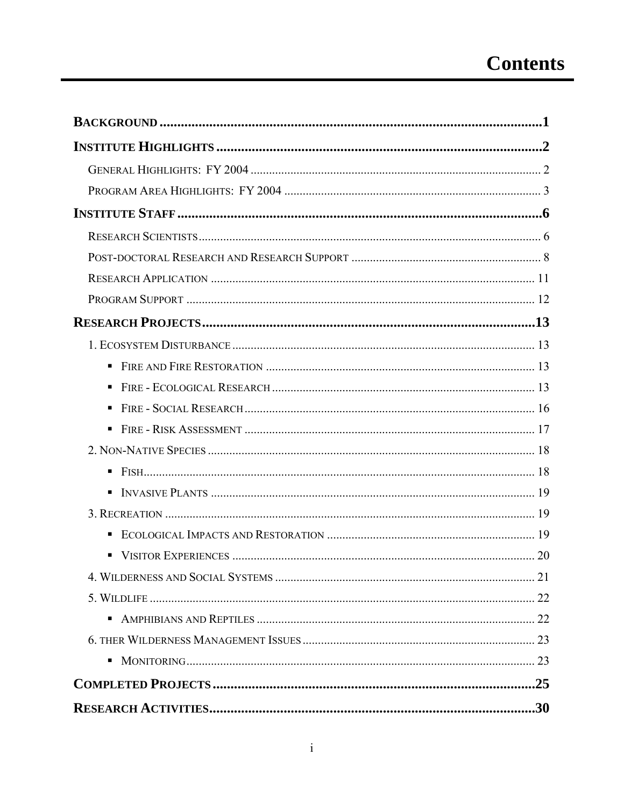| ٠              |  |
|----------------|--|
| ٠              |  |
| ٠              |  |
| π.             |  |
|                |  |
| $\blacksquare$ |  |
|                |  |
|                |  |
|                |  |
|                |  |
|                |  |
|                |  |
| п              |  |
|                |  |
| ш              |  |
|                |  |
|                |  |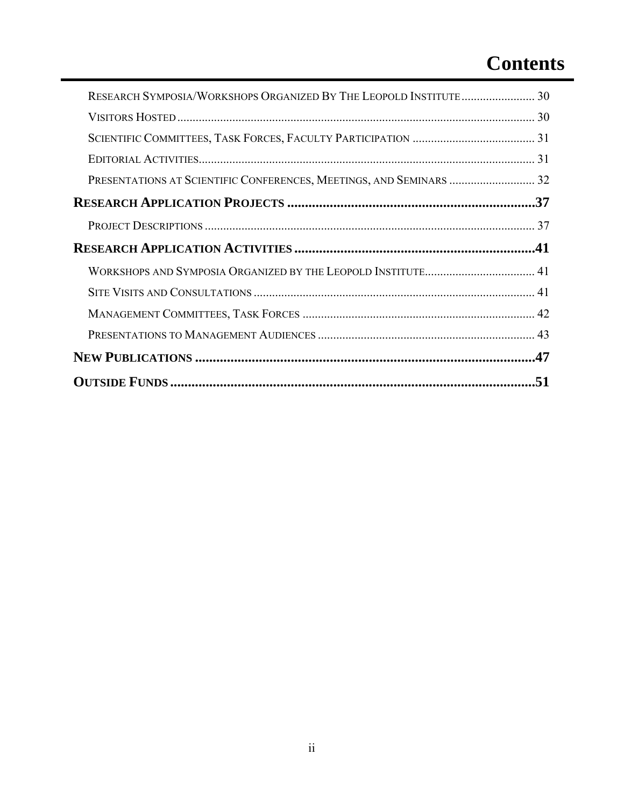## **Contents**

| RESEARCH SYMPOSIA/WORKSHOPS ORGANIZED BY THE LEOPOLD INSTITUTE 30 |  |
|-------------------------------------------------------------------|--|
|                                                                   |  |
|                                                                   |  |
|                                                                   |  |
|                                                                   |  |
|                                                                   |  |
|                                                                   |  |
|                                                                   |  |
|                                                                   |  |
|                                                                   |  |
|                                                                   |  |
|                                                                   |  |
|                                                                   |  |
|                                                                   |  |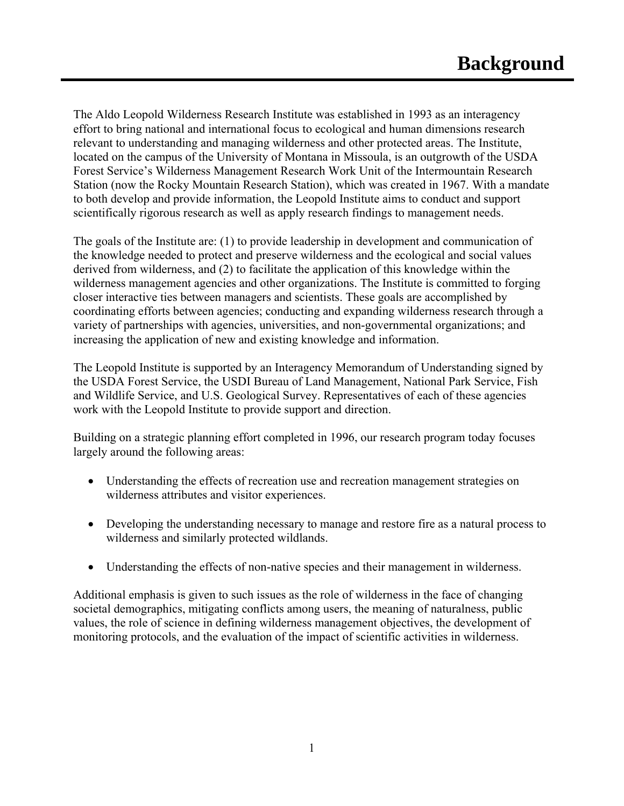The Aldo Leopold Wilderness Research Institute was established in 1993 as an interagency effort to bring national and international focus to ecological and human dimensions research relevant to understanding and managing wilderness and other protected areas. The Institute, located on the campus of the University of Montana in Missoula, is an outgrowth of the USDA Forest Service's Wilderness Management Research Work Unit of the Intermountain Research Station (now the Rocky Mountain Research Station), which was created in 1967. With a mandate to both develop and provide information, the Leopold Institute aims to conduct and support scientifically rigorous research as well as apply research findings to management needs.

The goals of the Institute are: (1) to provide leadership in development and communication of the knowledge needed to protect and preserve wilderness and the ecological and social values derived from wilderness, and (2) to facilitate the application of this knowledge within the wilderness management agencies and other organizations. The Institute is committed to forging closer interactive ties between managers and scientists. These goals are accomplished by coordinating efforts between agencies; conducting and expanding wilderness research through a variety of partnerships with agencies, universities, and non-governmental organizations; and increasing the application of new and existing knowledge and information.

The Leopold Institute is supported by an Interagency Memorandum of Understanding signed by the USDA Forest Service, the USDI Bureau of Land Management, National Park Service, Fish and Wildlife Service, and U.S. Geological Survey. Representatives of each of these agencies work with the Leopold Institute to provide support and direction.

Building on a strategic planning effort completed in 1996, our research program today focuses largely around the following areas:

- Understanding the effects of recreation use and recreation management strategies on wilderness attributes and visitor experiences.
- Developing the understanding necessary to manage and restore fire as a natural process to wilderness and similarly protected wildlands.
- Understanding the effects of non-native species and their management in wilderness.

Additional emphasis is given to such issues as the role of wilderness in the face of changing societal demographics, mitigating conflicts among users, the meaning of naturalness, public values, the role of science in defining wilderness management objectives, the development of monitoring protocols, and the evaluation of the impact of scientific activities in wilderness.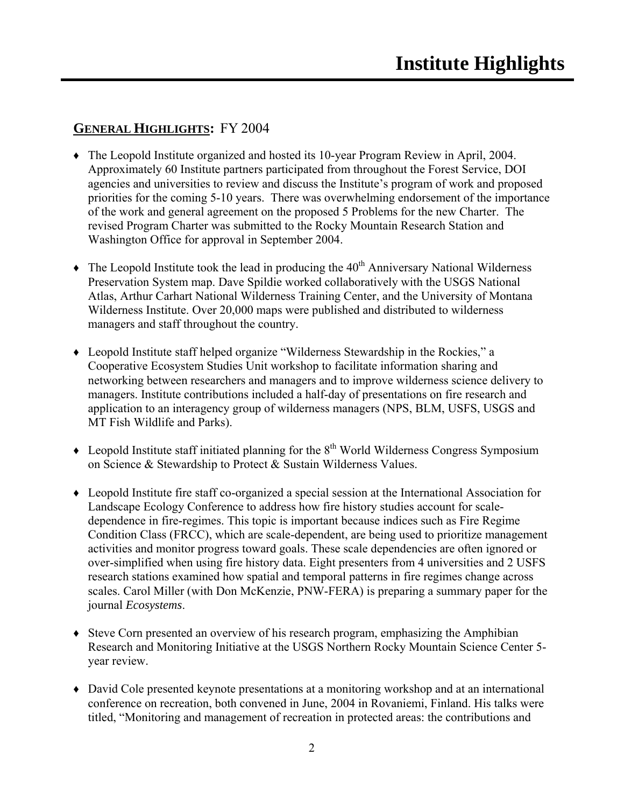## **GENERAL HIGHLIGHTS:** FY 2004

- ♦ The Leopold Institute organized and hosted its 10-year Program Review in April, 2004. Approximately 60 Institute partners participated from throughout the Forest Service, DOI agencies and universities to review and discuss the Institute's program of work and proposed priorities for the coming 5-10 years. There was overwhelming endorsement of the importance of the work and general agreement on the proposed 5 Problems for the new Charter. The revised Program Charter was submitted to the Rocky Mountain Research Station and Washington Office for approval in September 2004.
- $\triangle$  The Leopold Institute took the lead in producing the 40<sup>th</sup> Anniversary National Wilderness Preservation System map. Dave Spildie worked collaboratively with the USGS National Atlas, Arthur Carhart National Wilderness Training Center, and the University of Montana Wilderness Institute. Over 20,000 maps were published and distributed to wilderness managers and staff throughout the country.
- ♦ Leopold Institute staff helped organize "Wilderness Stewardship in the Rockies," a Cooperative Ecosystem Studies Unit workshop to facilitate information sharing and networking between researchers and managers and to improve wilderness science delivery to managers. Institute contributions included a half-day of presentations on fire research and application to an interagency group of wilderness managers (NPS, BLM, USFS, USGS and MT Fish Wildlife and Parks).
- $\triangle$  Leopold Institute staff initiated planning for the  $8<sup>th</sup>$  World Wilderness Congress Symposium on Science & Stewardship to Protect & Sustain Wilderness Values.
- ♦ Leopold Institute fire staff co-organized a special session at the International Association for Landscape Ecology Conference to address how fire history studies account for scaledependence in fire-regimes. This topic is important because indices such as Fire Regime Condition Class (FRCC), which are scale-dependent, are being used to prioritize management activities and monitor progress toward goals. These scale dependencies are often ignored or over-simplified when using fire history data. Eight presenters from 4 universities and 2 USFS research stations examined how spatial and temporal patterns in fire regimes change across scales. Carol Miller (with Don McKenzie, PNW-FERA) is preparing a summary paper for the journal *Ecosystems*.
- ♦ Steve Corn presented an overview of his research program, emphasizing the Amphibian Research and Monitoring Initiative at the USGS Northern Rocky Mountain Science Center 5 year review.
- ♦ David Cole presented keynote presentations at a monitoring workshop and at an international conference on recreation, both convened in June, 2004 in Rovaniemi, Finland. His talks were titled, "Monitoring and management of recreation in protected areas: the contributions and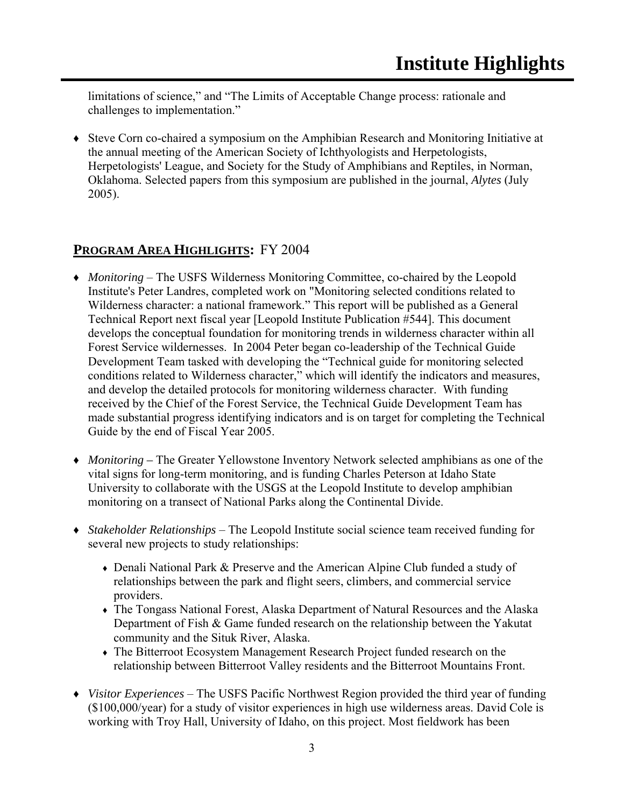limitations of science," and "The Limits of Acceptable Change process: rationale and challenges to implementation."

♦ Steve Corn co-chaired a symposium on the Amphibian Research and Monitoring Initiative at the annual meeting of the American Society of Ichthyologists and Herpetologists, Herpetologists' League, and Society for the Study of Amphibians and Reptiles, in Norman, Oklahoma. Selected papers from this symposium are published in the journal, *Alytes* (July 2005).

### **PROGRAM AREA HIGHLIGHTS:** FY 2004

- ♦ *Monitoring* The USFS Wilderness Monitoring Committee, co-chaired by the Leopold Institute's Peter Landres, completed work on "Monitoring selected conditions related to Wilderness character: a national framework." This report will be published as a General Technical Report next fiscal year [Leopold Institute Publication #544]. This document develops the conceptual foundation for monitoring trends in wilderness character within all Forest Service wildernesses. In 2004 Peter began co-leadership of the Technical Guide Development Team tasked with developing the "Technical guide for monitoring selected conditions related to Wilderness character," which will identify the indicators and measures, and develop the detailed protocols for monitoring wilderness character. With funding received by the Chief of the Forest Service, the Technical Guide Development Team has made substantial progress identifying indicators and is on target for completing the Technical Guide by the end of Fiscal Year 2005.
- ♦ *Monitoring* The Greater Yellowstone Inventory Network selected amphibians as one of the vital signs for long-term monitoring, and is funding Charles Peterson at Idaho State University to collaborate with the USGS at the Leopold Institute to develop amphibian monitoring on a transect of National Parks along the Continental Divide.
- ♦ *Stakeholder Relationships* The Leopold Institute social science team received funding for several new projects to study relationships:
	- Denali National Park & Preserve and the American Alpine Club funded a study of relationships between the park and flight seers, climbers, and commercial service providers.
	- ♦ The Tongass National Forest, Alaska Department of Natural Resources and the Alaska Department of Fish & Game funded research on the relationship between the Yakutat community and the Situk River, Alaska.
	- ♦ The Bitterroot Ecosystem Management Research Project funded research on the relationship between Bitterroot Valley residents and the Bitterroot Mountains Front.
- ♦ *Visitor Experiences* The USFS Pacific Northwest Region provided the third year of funding (\$100,000/year) for a study of visitor experiences in high use wilderness areas. David Cole is working with Troy Hall, University of Idaho, on this project. Most fieldwork has been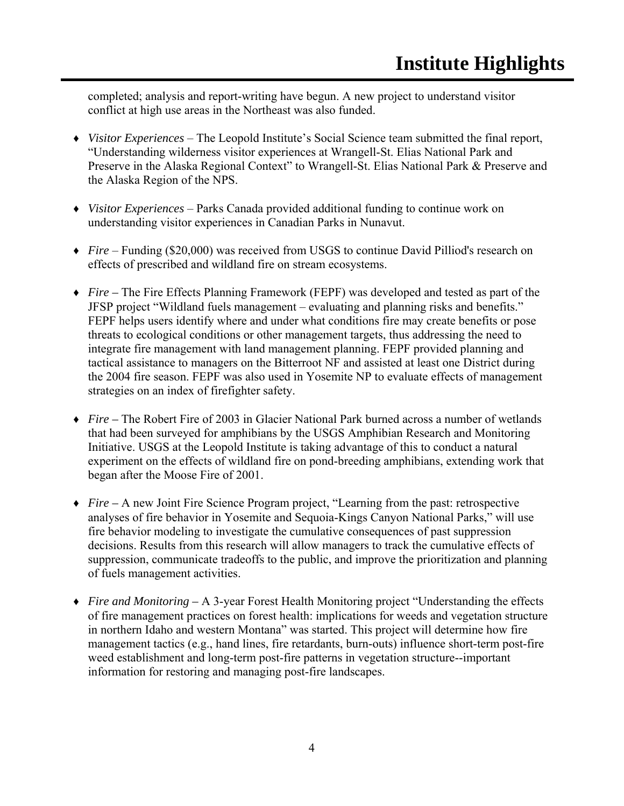completed; analysis and report-writing have begun. A new project to understand visitor conflict at high use areas in the Northeast was also funded.

- ♦ *Visitor Experiences* The Leopold Institute's Social Science team submitted the final report, "Understanding wilderness visitor experiences at Wrangell-St. Elias National Park and Preserve in the Alaska Regional Context" to Wrangell-St. Elias National Park & Preserve and the Alaska Region of the NPS.
- ♦ *Visitor Experiences* Parks Canada provided additional funding to continue work on understanding visitor experiences in Canadian Parks in Nunavut.
- ♦ *Fire* Funding (\$20,000) was received from USGS to continue David Pilliod's research on effects of prescribed and wildland fire on stream ecosystems.
- ♦ *Fire –* The Fire Effects Planning Framework (FEPF) was developed and tested as part of the JFSP project "Wildland fuels management – evaluating and planning risks and benefits." FEPF helps users identify where and under what conditions fire may create benefits or pose threats to ecological conditions or other management targets, thus addressing the need to integrate fire management with land management planning. FEPF provided planning and tactical assistance to managers on the Bitterroot NF and assisted at least one District during the 2004 fire season. FEPF was also used in Yosemite NP to evaluate effects of management strategies on an index of firefighter safety.
- ♦ *Fire –* The Robert Fire of 2003 in Glacier National Park burned across a number of wetlands that had been surveyed for amphibians by the USGS Amphibian Research and Monitoring Initiative. USGS at the Leopold Institute is taking advantage of this to conduct a natural experiment on the effects of wildland fire on pond-breeding amphibians, extending work that began after the Moose Fire of 2001.
- ♦ *Fire* A new Joint Fire Science Program project, "Learning from the past: retrospective analyses of fire behavior in Yosemite and Sequoia-Kings Canyon National Parks," will use fire behavior modeling to investigate the cumulative consequences of past suppression decisions. Results from this research will allow managers to track the cumulative effects of suppression, communicate tradeoffs to the public, and improve the prioritization and planning of fuels management activities.
- ♦ *Fire and Monitoring* A 3-year Forest Health Monitoring project "Understanding the effects of fire management practices on forest health: implications for weeds and vegetation structure in northern Idaho and western Montana" was started. This project will determine how fire management tactics (e.g., hand lines, fire retardants, burn-outs) influence short-term post-fire weed establishment and long-term post-fire patterns in vegetation structure--important information for restoring and managing post-fire landscapes.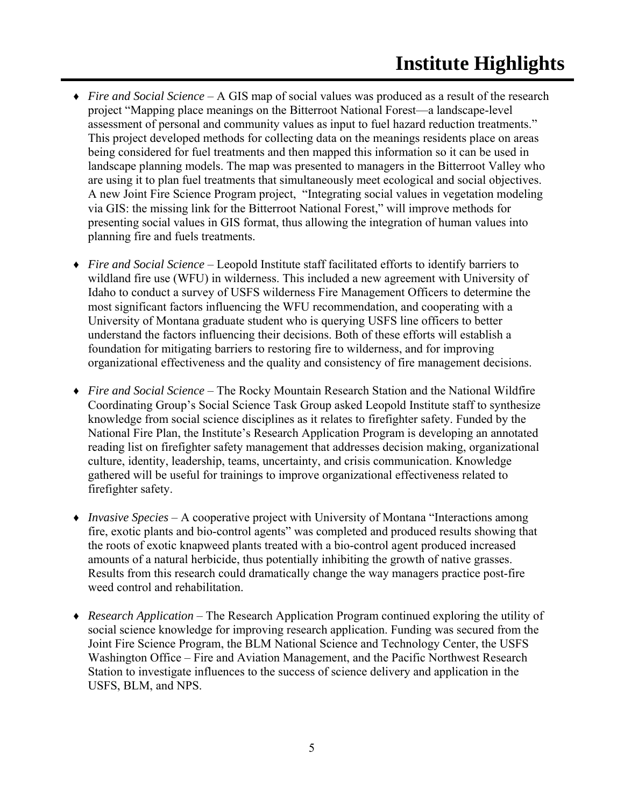- ♦ *Fire and Social Science* A GIS map of social values was produced as a result of the research project "Mapping place meanings on the Bitterroot National Forest—a landscape-level assessment of personal and community values as input to fuel hazard reduction treatments." This project developed methods for collecting data on the meanings residents place on areas being considered for fuel treatments and then mapped this information so it can be used in landscape planning models. The map was presented to managers in the Bitterroot Valley who are using it to plan fuel treatments that simultaneously meet ecological and social objectives. A new Joint Fire Science Program project, "Integrating social values in vegetation modeling via GIS: the missing link for the Bitterroot National Forest," will improve methods for presenting social values in GIS format, thus allowing the integration of human values into planning fire and fuels treatments.
- ♦ *Fire and Social Science* Leopold Institute staff facilitated efforts to identify barriers to wildland fire use (WFU) in wilderness. This included a new agreement with University of Idaho to conduct a survey of USFS wilderness Fire Management Officers to determine the most significant factors influencing the WFU recommendation, and cooperating with a University of Montana graduate student who is querying USFS line officers to better understand the factors influencing their decisions. Both of these efforts will establish a foundation for mitigating barriers to restoring fire to wilderness, and for improving organizational effectiveness and the quality and consistency of fire management decisions.
- ♦ *Fire and Social Science* The Rocky Mountain Research Station and the National Wildfire Coordinating Group's Social Science Task Group asked Leopold Institute staff to synthesize knowledge from social science disciplines as it relates to firefighter safety. Funded by the National Fire Plan, the Institute's Research Application Program is developing an annotated reading list on firefighter safety management that addresses decision making, organizational culture, identity, leadership, teams, uncertainty, and crisis communication. Knowledge gathered will be useful for trainings to improve organizational effectiveness related to firefighter safety.
- ♦ *Invasive Species* A cooperative project with University of Montana "Interactions among fire, exotic plants and bio-control agents" was completed and produced results showing that the roots of exotic knapweed plants treated with a bio-control agent produced increased amounts of a natural herbicide, thus potentially inhibiting the growth of native grasses. Results from this research could dramatically change the way managers practice post-fire weed control and rehabilitation.
- ♦ *Research Application* The Research Application Program continued exploring the utility of social science knowledge for improving research application. Funding was secured from the Joint Fire Science Program, the BLM National Science and Technology Center, the USFS Washington Office – Fire and Aviation Management, and the Pacific Northwest Research Station to investigate influences to the success of science delivery and application in the USFS, BLM, and NPS.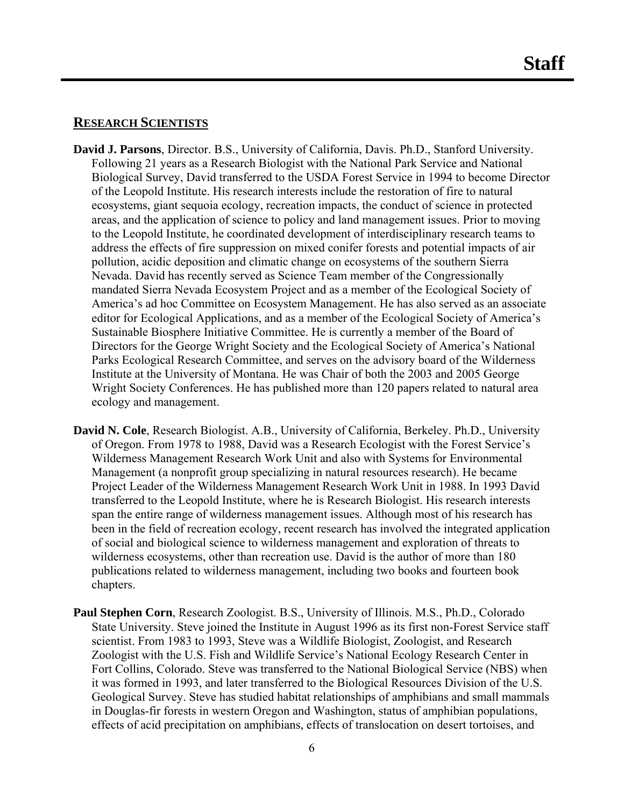#### **RESEARCH SCIENTISTS**

- **David J. Parsons**, Director. B.S., University of California, Davis. Ph.D., Stanford University. Following 21 years as a Research Biologist with the National Park Service and National Biological Survey, David transferred to the USDA Forest Service in 1994 to become Director of the Leopold Institute. His research interests include the restoration of fire to natural ecosystems, giant sequoia ecology, recreation impacts, the conduct of science in protected areas, and the application of science to policy and land management issues. Prior to moving to the Leopold Institute, he coordinated development of interdisciplinary research teams to address the effects of fire suppression on mixed conifer forests and potential impacts of air pollution, acidic deposition and climatic change on ecosystems of the southern Sierra Nevada. David has recently served as Science Team member of the Congressionally mandated Sierra Nevada Ecosystem Project and as a member of the Ecological Society of America's ad hoc Committee on Ecosystem Management. He has also served as an associate editor for Ecological Applications, and as a member of the Ecological Society of America's Sustainable Biosphere Initiative Committee. He is currently a member of the Board of Directors for the George Wright Society and the Ecological Society of America's National Parks Ecological Research Committee, and serves on the advisory board of the Wilderness Institute at the University of Montana. He was Chair of both the 2003 and 2005 George Wright Society Conferences. He has published more than 120 papers related to natural area ecology and management.
- **David N. Cole**, Research Biologist. A.B., University of California, Berkeley. Ph.D., University of Oregon. From 1978 to 1988, David was a Research Ecologist with the Forest Service's Wilderness Management Research Work Unit and also with Systems for Environmental Management (a nonprofit group specializing in natural resources research). He became Project Leader of the Wilderness Management Research Work Unit in 1988. In 1993 David transferred to the Leopold Institute, where he is Research Biologist. His research interests span the entire range of wilderness management issues. Although most of his research has been in the field of recreation ecology, recent research has involved the integrated application of social and biological science to wilderness management and exploration of threats to wilderness ecosystems, other than recreation use. David is the author of more than 180 publications related to wilderness management, including two books and fourteen book chapters.
- **Paul Stephen Corn**, Research Zoologist. B.S., University of Illinois. M.S., Ph.D., Colorado State University. Steve joined the Institute in August 1996 as its first non-Forest Service staff scientist. From 1983 to 1993, Steve was a Wildlife Biologist, Zoologist, and Research Zoologist with the U.S. Fish and Wildlife Service's National Ecology Research Center in Fort Collins, Colorado. Steve was transferred to the National Biological Service (NBS) when it was formed in 1993, and later transferred to the Biological Resources Division of the U.S. Geological Survey. Steve has studied habitat relationships of amphibians and small mammals in Douglas-fir forests in western Oregon and Washington, status of amphibian populations, effects of acid precipitation on amphibians, effects of translocation on desert tortoises, and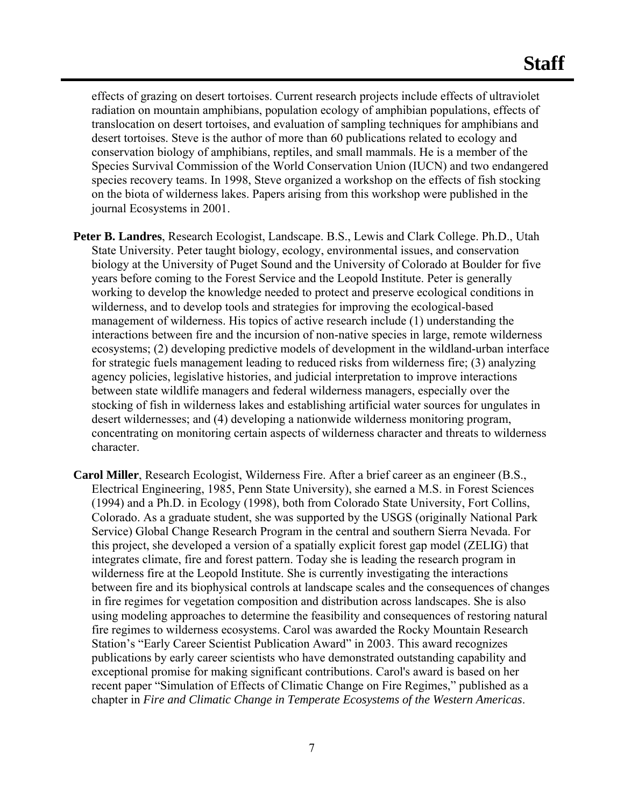effects of grazing on desert tortoises. Current research projects include effects of ultraviolet radiation on mountain amphibians, population ecology of amphibian populations, effects of translocation on desert tortoises, and evaluation of sampling techniques for amphibians and desert tortoises. Steve is the author of more than 60 publications related to ecology and conservation biology of amphibians, reptiles, and small mammals. He is a member of the Species Survival Commission of the World Conservation Union (IUCN) and two endangered species recovery teams. In 1998, Steve organized a workshop on the effects of fish stocking on the biota of wilderness lakes. Papers arising from this workshop were published in the journal Ecosystems in 2001.

- **Peter B. Landres**, Research Ecologist, Landscape. B.S., Lewis and Clark College. Ph.D., Utah State University. Peter taught biology, ecology, environmental issues, and conservation biology at the University of Puget Sound and the University of Colorado at Boulder for five years before coming to the Forest Service and the Leopold Institute. Peter is generally working to develop the knowledge needed to protect and preserve ecological conditions in wilderness, and to develop tools and strategies for improving the ecological-based management of wilderness. His topics of active research include (1) understanding the interactions between fire and the incursion of non-native species in large, remote wilderness ecosystems; (2) developing predictive models of development in the wildland-urban interface for strategic fuels management leading to reduced risks from wilderness fire; (3) analyzing agency policies, legislative histories, and judicial interpretation to improve interactions between state wildlife managers and federal wilderness managers, especially over the stocking of fish in wilderness lakes and establishing artificial water sources for ungulates in desert wildernesses; and (4) developing a nationwide wilderness monitoring program, concentrating on monitoring certain aspects of wilderness character and threats to wilderness character.
- **Carol Miller**, Research Ecologist, Wilderness Fire. After a brief career as an engineer (B.S., Electrical Engineering, 1985, Penn State University), she earned a M.S. in Forest Sciences (1994) and a Ph.D. in Ecology (1998), both from Colorado State University, Fort Collins, Colorado. As a graduate student, she was supported by the USGS (originally National Park Service) Global Change Research Program in the central and southern Sierra Nevada. For this project, she developed a version of a spatially explicit forest gap model (ZELIG) that integrates climate, fire and forest pattern. Today she is leading the research program in wilderness fire at the Leopold Institute. She is currently investigating the interactions between fire and its biophysical controls at landscape scales and the consequences of changes in fire regimes for vegetation composition and distribution across landscapes. She is also using modeling approaches to determine the feasibility and consequences of restoring natural fire regimes to wilderness ecosystems. Carol was awarded the Rocky Mountain Research Station's "Early Career Scientist Publication Award" in 2003. This award recognizes publications by early career scientists who have demonstrated outstanding capability and exceptional promise for making significant contributions. Carol's award is based on her recent paper "Simulation of Effects of Climatic Change on Fire Regimes," published as a chapter in *Fire and Climatic Change in Temperate Ecosystems of the Western Americas*.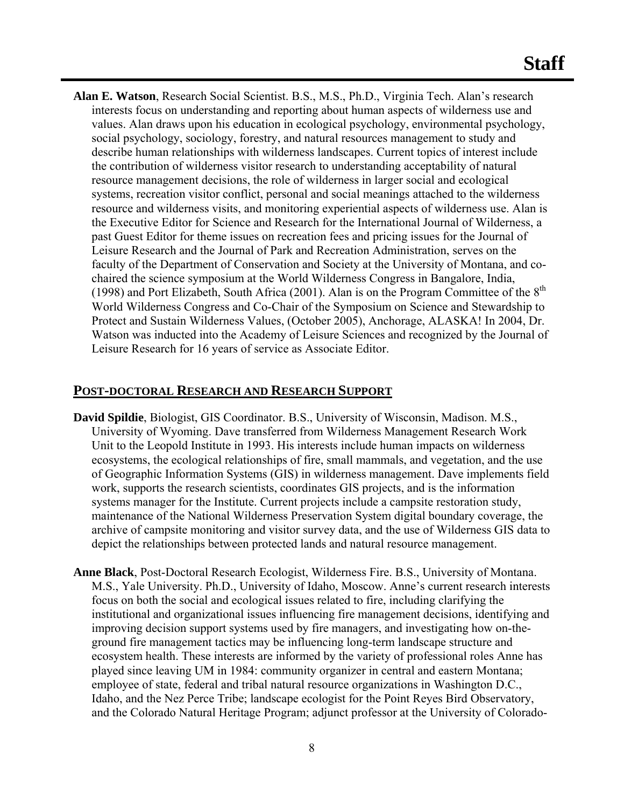**Alan E. Watson**, Research Social Scientist. B.S., M.S., Ph.D., Virginia Tech. Alan's research interests focus on understanding and reporting about human aspects of wilderness use and values. Alan draws upon his education in ecological psychology, environmental psychology, social psychology, sociology, forestry, and natural resources management to study and describe human relationships with wilderness landscapes. Current topics of interest include the contribution of wilderness visitor research to understanding acceptability of natural resource management decisions, the role of wilderness in larger social and ecological systems, recreation visitor conflict, personal and social meanings attached to the wilderness resource and wilderness visits, and monitoring experiential aspects of wilderness use. Alan is the Executive Editor for Science and Research for the International Journal of Wilderness, a past Guest Editor for theme issues on recreation fees and pricing issues for the Journal of Leisure Research and the Journal of Park and Recreation Administration, serves on the faculty of the Department of Conservation and Society at the University of Montana, and cochaired the science symposium at the World Wilderness Congress in Bangalore, India, (1998) and Port Elizabeth, South Africa (2001). Alan is on the Program Committee of the  $8<sup>th</sup>$ World Wilderness Congress and Co-Chair of the Symposium on Science and Stewardship to Protect and Sustain Wilderness Values, (October 2005), Anchorage, ALASKA! In 2004, Dr. Watson was inducted into the Academy of Leisure Sciences and recognized by the Journal of Leisure Research for 16 years of service as Associate Editor.

### **POST-DOCTORAL RESEARCH AND RESEARCH SUPPORT**

- **David Spildie**, Biologist, GIS Coordinator. B.S., University of Wisconsin, Madison. M.S., University of Wyoming. Dave transferred from Wilderness Management Research Work Unit to the Leopold Institute in 1993. His interests include human impacts on wilderness ecosystems, the ecological relationships of fire, small mammals, and vegetation, and the use of Geographic Information Systems (GIS) in wilderness management. Dave implements field work, supports the research scientists, coordinates GIS projects, and is the information systems manager for the Institute. Current projects include a campsite restoration study, maintenance of the National Wilderness Preservation System digital boundary coverage, the archive of campsite monitoring and visitor survey data, and the use of Wilderness GIS data to depict the relationships between protected lands and natural resource management.
- **Anne Black**, Post-Doctoral Research Ecologist, Wilderness Fire. B.S., University of Montana. M.S., Yale University. Ph.D., University of Idaho, Moscow. Anne's current research interests focus on both the social and ecological issues related to fire, including clarifying the institutional and organizational issues influencing fire management decisions, identifying and improving decision support systems used by fire managers, and investigating how on-theground fire management tactics may be influencing long-term landscape structure and ecosystem health. These interests are informed by the variety of professional roles Anne has played since leaving UM in 1984: community organizer in central and eastern Montana; employee of state, federal and tribal natural resource organizations in Washington D.C., Idaho, and the Nez Perce Tribe; landscape ecologist for the Point Reyes Bird Observatory, and the Colorado Natural Heritage Program; adjunct professor at the University of Colorado-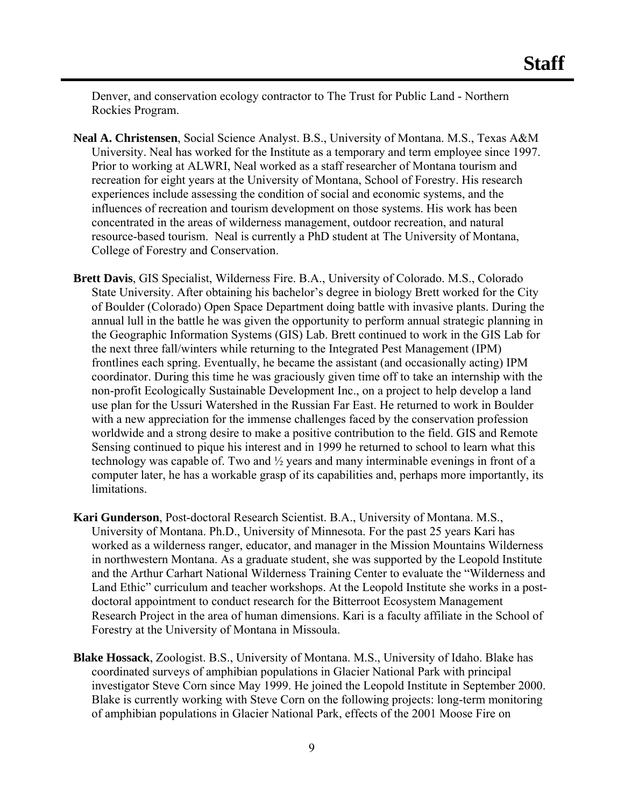Denver, and conservation ecology contractor to The Trust for Public Land - Northern Rockies Program.

- **Neal A. Christensen**, Social Science Analyst. B.S., University of Montana. M.S., Texas A&M University. Neal has worked for the Institute as a temporary and term employee since 1997. Prior to working at ALWRI, Neal worked as a staff researcher of Montana tourism and recreation for eight years at the University of Montana, School of Forestry. His research experiences include assessing the condition of social and economic systems, and the influences of recreation and tourism development on those systems. His work has been concentrated in the areas of wilderness management, outdoor recreation, and natural resource-based tourism. Neal is currently a PhD student at The University of Montana, College of Forestry and Conservation.
- **Brett Davis**, GIS Specialist, Wilderness Fire. B.A., University of Colorado. M.S., Colorado State University. After obtaining his bachelor's degree in biology Brett worked for the City of Boulder (Colorado) Open Space Department doing battle with invasive plants. During the annual lull in the battle he was given the opportunity to perform annual strategic planning in the Geographic Information Systems (GIS) Lab. Brett continued to work in the GIS Lab for the next three fall/winters while returning to the Integrated Pest Management (IPM) frontlines each spring. Eventually, he became the assistant (and occasionally acting) IPM coordinator. During this time he was graciously given time off to take an internship with the non-profit Ecologically Sustainable Development Inc., on a project to help develop a land use plan for the Ussuri Watershed in the Russian Far East. He returned to work in Boulder with a new appreciation for the immense challenges faced by the conservation profession worldwide and a strong desire to make a positive contribution to the field. GIS and Remote Sensing continued to pique his interest and in 1999 he returned to school to learn what this technology was capable of. Two and ½ years and many interminable evenings in front of a computer later, he has a workable grasp of its capabilities and, perhaps more importantly, its limitations.
- **Kari Gunderson**, Post-doctoral Research Scientist. B.A., University of Montana. M.S., University of Montana. Ph.D., University of Minnesota. For the past 25 years Kari has worked as a wilderness ranger, educator, and manager in the Mission Mountains Wilderness in northwestern Montana. As a graduate student, she was supported by the Leopold Institute and the Arthur Carhart National Wilderness Training Center to evaluate the "Wilderness and Land Ethic" curriculum and teacher workshops. At the Leopold Institute she works in a postdoctoral appointment to conduct research for the Bitterroot Ecosystem Management Research Project in the area of human dimensions. Kari is a faculty affiliate in the School of Forestry at the University of Montana in Missoula.
- **Blake Hossack**, Zoologist. B.S., University of Montana. M.S., University of Idaho. Blake has coordinated surveys of amphibian populations in Glacier National Park with principal investigator Steve Corn since May 1999. He joined the Leopold Institute in September 2000. Blake is currently working with Steve Corn on the following projects: long-term monitoring of amphibian populations in Glacier National Park, effects of the 2001 Moose Fire on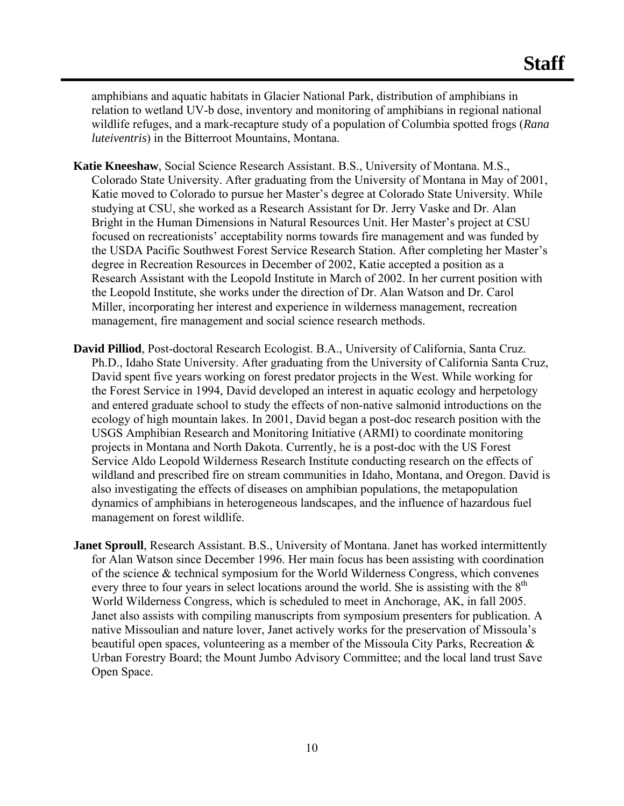amphibians and aquatic habitats in Glacier National Park, distribution of amphibians in relation to wetland UV-b dose, inventory and monitoring of amphibians in regional national wildlife refuges, and a mark-recapture study of a population of Columbia spotted frogs (*Rana luteiventris*) in the Bitterroot Mountains, Montana.

- **Katie Kneeshaw**, Social Science Research Assistant. B.S., University of Montana. M.S., Colorado State University. After graduating from the University of Montana in May of 2001, Katie moved to Colorado to pursue her Master's degree at Colorado State University. While studying at CSU, she worked as a Research Assistant for Dr. Jerry Vaske and Dr. Alan Bright in the Human Dimensions in Natural Resources Unit. Her Master's project at CSU focused on recreationists' acceptability norms towards fire management and was funded by the USDA Pacific Southwest Forest Service Research Station. After completing her Master's degree in Recreation Resources in December of 2002, Katie accepted a position as a Research Assistant with the Leopold Institute in March of 2002. In her current position with the Leopold Institute, she works under the direction of Dr. Alan Watson and Dr. Carol Miller, incorporating her interest and experience in wilderness management, recreation management, fire management and social science research methods.
- **David Pilliod**, Post-doctoral Research Ecologist. B.A., University of California, Santa Cruz. Ph.D., Idaho State University. After graduating from the University of California Santa Cruz, David spent five years working on forest predator projects in the West. While working for the Forest Service in 1994, David developed an interest in aquatic ecology and herpetology and entered graduate school to study the effects of non-native salmonid introductions on the ecology of high mountain lakes. In 2001, David began a post-doc research position with the USGS Amphibian Research and Monitoring Initiative (ARMI) to coordinate monitoring projects in Montana and North Dakota. Currently, he is a post-doc with the US Forest Service Aldo Leopold Wilderness Research Institute conducting research on the effects of wildland and prescribed fire on stream communities in Idaho, Montana, and Oregon. David is also investigating the effects of diseases on amphibian populations, the metapopulation dynamics of amphibians in heterogeneous landscapes, and the influence of hazardous fuel management on forest wildlife.
- **Janet Sproull**, Research Assistant. B.S., University of Montana. Janet has worked intermittently for Alan Watson since December 1996. Her main focus has been assisting with coordination of the science & technical symposium for the World Wilderness Congress, which convenes every three to four years in select locations around the world. She is assisting with the  $8<sup>th</sup>$ World Wilderness Congress, which is scheduled to meet in Anchorage, AK, in fall 2005. Janet also assists with compiling manuscripts from symposium presenters for publication. A native Missoulian and nature lover, Janet actively works for the preservation of Missoula's beautiful open spaces, volunteering as a member of the Missoula City Parks, Recreation & Urban Forestry Board; the Mount Jumbo Advisory Committee; and the local land trust Save Open Space.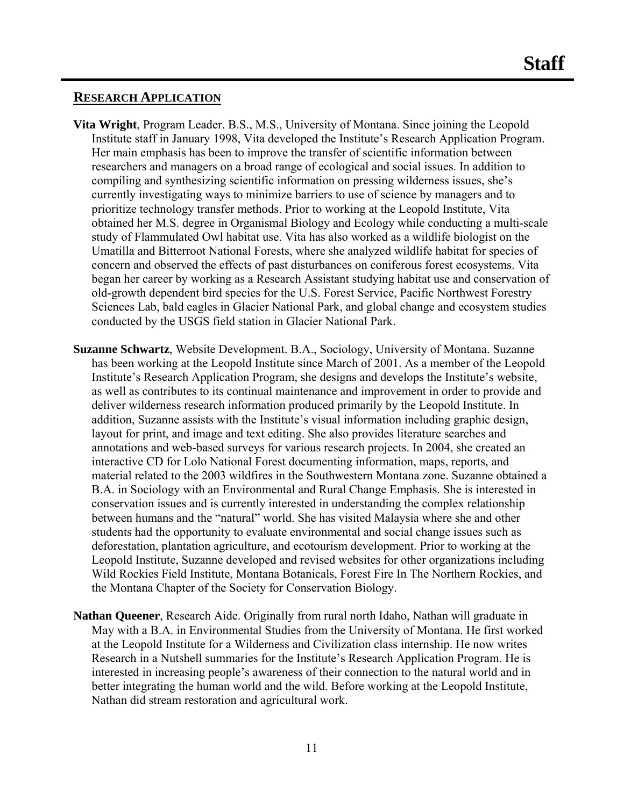#### **RESEARCH APPLICATION**

- **Vita Wright**, Program Leader. B.S., M.S., University of Montana. Since joining the Leopold Institute staff in January 1998, Vita developed the Institute's Research Application Program. Her main emphasis has been to improve the transfer of scientific information between researchers and managers on a broad range of ecological and social issues. In addition to compiling and synthesizing scientific information on pressing wilderness issues, she's currently investigating ways to minimize barriers to use of science by managers and to prioritize technology transfer methods. Prior to working at the Leopold Institute, Vita obtained her M.S. degree in Organismal Biology and Ecology while conducting a multi-scale study of Flammulated Owl habitat use. Vita has also worked as a wildlife biologist on the Umatilla and Bitterroot National Forests, where she analyzed wildlife habitat for species of concern and observed the effects of past disturbances on coniferous forest ecosystems. Vita began her career by working as a Research Assistant studying habitat use and conservation of old-growth dependent bird species for the U.S. Forest Service, Pacific Northwest Forestry Sciences Lab, bald eagles in Glacier National Park, and global change and ecosystem studies conducted by the USGS field station in Glacier National Park.
- **Suzanne Schwartz**, Website Development. B.A., Sociology, University of Montana. Suzanne has been working at the Leopold Institute since March of 2001. As a member of the Leopold Institute's Research Application Program, she designs and develops the Institute's website, as well as contributes to its continual maintenance and improvement in order to provide and deliver wilderness research information produced primarily by the Leopold Institute. In addition, Suzanne assists with the Institute's visual information including graphic design, layout for print, and image and text editing. She also provides literature searches and annotations and web-based surveys for various research projects. In 2004, she created an interactive CD for Lolo National Forest documenting information, maps, reports, and material related to the 2003 wildfires in the Southwestern Montana zone. Suzanne obtained a B.A. in Sociology with an Environmental and Rural Change Emphasis. She is interested in conservation issues and is currently interested in understanding the complex relationship between humans and the "natural" world. She has visited Malaysia where she and other students had the opportunity to evaluate environmental and social change issues such as deforestation, plantation agriculture, and ecotourism development. Prior to working at the Leopold Institute, Suzanne developed and revised websites for other organizations including Wild Rockies Field Institute, Montana Botanicals, Forest Fire In The Northern Rockies, and the Montana Chapter of the Society for Conservation Biology.
- **Nathan Queener**, Research Aide. Originally from rural north Idaho, Nathan will graduate in May with a B.A. in Environmental Studies from the University of Montana. He first worked at the Leopold Institute for a Wilderness and Civilization class internship. He now writes Research in a Nutshell summaries for the Institute's Research Application Program. He is interested in increasing people's awareness of their connection to the natural world and in better integrating the human world and the wild. Before working at the Leopold Institute, Nathan did stream restoration and agricultural work.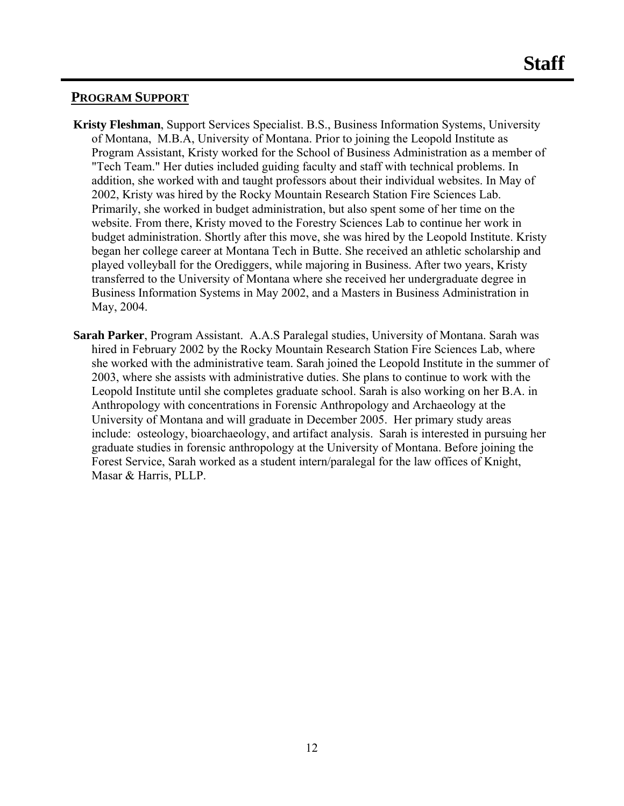#### **PROGRAM SUPPORT**

- **Kristy Fleshman**, Support Services Specialist. B.S., Business Information Systems, University of Montana, M.B.A, University of Montana. Prior to joining the Leopold Institute as Program Assistant, Kristy worked for the School of Business Administration as a member of "Tech Team." Her duties included guiding faculty and staff with technical problems. In addition, she worked with and taught professors about their individual websites. In May of 2002, Kristy was hired by the Rocky Mountain Research Station Fire Sciences Lab. Primarily, she worked in budget administration, but also spent some of her time on the website. From there, Kristy moved to the Forestry Sciences Lab to continue her work in budget administration. Shortly after this move, she was hired by the Leopold Institute. Kristy began her college career at Montana Tech in Butte. She received an athletic scholarship and played volleyball for the Orediggers, while majoring in Business. After two years, Kristy transferred to the University of Montana where she received her undergraduate degree in Business Information Systems in May 2002, and a Masters in Business Administration in May, 2004.
- **Sarah Parker**, Program Assistant. A.A.S Paralegal studies, University of Montana. Sarah was hired in February 2002 by the Rocky Mountain Research Station Fire Sciences Lab, where she worked with the administrative team. Sarah joined the Leopold Institute in the summer of 2003, where she assists with administrative duties. She plans to continue to work with the Leopold Institute until she completes graduate school. Sarah is also working on her B.A. in Anthropology with concentrations in Forensic Anthropology and Archaeology at the University of Montana and will graduate in December 2005. Her primary study areas include: osteology, bioarchaeology, and artifact analysis. Sarah is interested in pursuing her graduate studies in forensic anthropology at the University of Montana. Before joining the Forest Service, Sarah worked as a student intern/paralegal for the law offices of Knight, Masar & Harris, PLLP.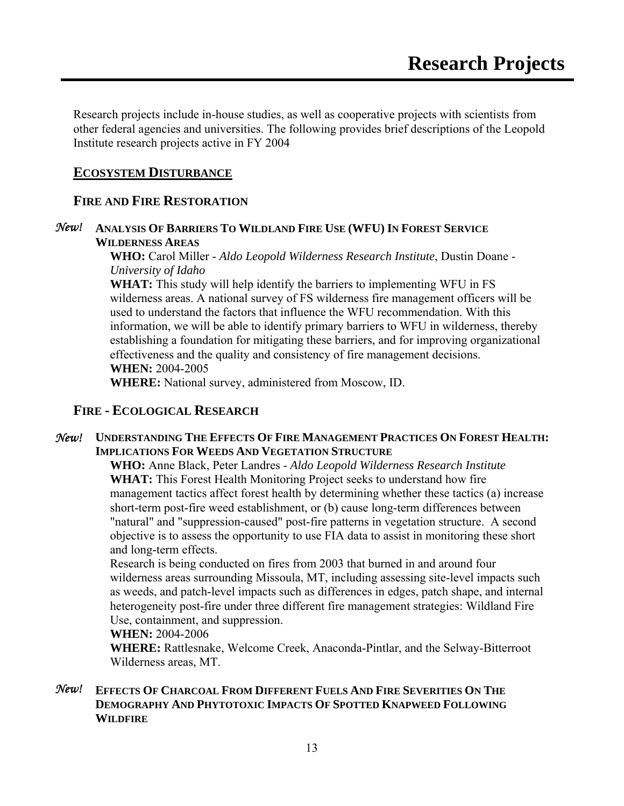Research projects include in-house studies, as well as cooperative projects with scientists from other federal agencies and universities. The following provides brief descriptions of the Leopold Institute research projects active in FY 2004

#### **ECOSYSTEM DISTURBANCE**

### **FIRE AND FIRE RESTORATION**

#### *New!* **ANALYSIS OF BARRIERS TO WILDLAND FIRE USE (WFU) IN FOREST SERVICE WILDERNESS AREAS**

**WHO:** Carol Miller - *Aldo Leopold Wilderness Research Institute*, Dustin Doane - *University of Idaho*

**WHAT:** This study will help identify the barriers to implementing WFU in FS wilderness areas. A national survey of FS wilderness fire management officers will be used to understand the factors that influence the WFU recommendation. With this information, we will be able to identify primary barriers to WFU in wilderness, thereby establishing a foundation for mitigating these barriers, and for improving organizational effectiveness and the quality and consistency of fire management decisions. **WHEN:** 2004-2005

**WHERE:** National survey, administered from Moscow, ID.

### **FIRE - ECOLOGICAL RESEARCH**

#### *New!* **UNDERSTANDING THE EFFECTS OF FIRE MANAGEMENT PRACTICES ON FOREST HEALTH: IMPLICATIONS FOR WEEDS AND VEGETATION STRUCTURE**

**WHO:** Anne Black, Peter Landres - *Aldo Leopold Wilderness Research Institute* **WHAT:** This Forest Health Monitoring Project seeks to understand how fire management tactics affect forest health by determining whether these tactics (a) increase short-term post-fire weed establishment, or (b) cause long-term differences between "natural" and "suppression-caused" post-fire patterns in vegetation structure. A second objective is to assess the opportunity to use FIA data to assist in monitoring these short and long-term effects.

Research is being conducted on fires from 2003 that burned in and around four wilderness areas surrounding Missoula, MT, including assessing site-level impacts such as weeds, and patch-level impacts such as differences in edges, patch shape, and internal heterogeneity post-fire under three different fire management strategies: Wildland Fire Use, containment, and suppression.

#### **WHEN:** 2004-2006

**WHERE:** Rattlesnake, Welcome Creek, Anaconda-Pintlar, and the Selway-Bitterroot Wilderness areas, MT.

#### *New!* **EFFECTS OF CHARCOAL FROM DIFFERENT FUELS AND FIRE SEVERITIES ON THE DEMOGRAPHY AND PHYTOTOXIC IMPACTS OF SPOTTED KNAPWEED FOLLOWING WILDFIRE**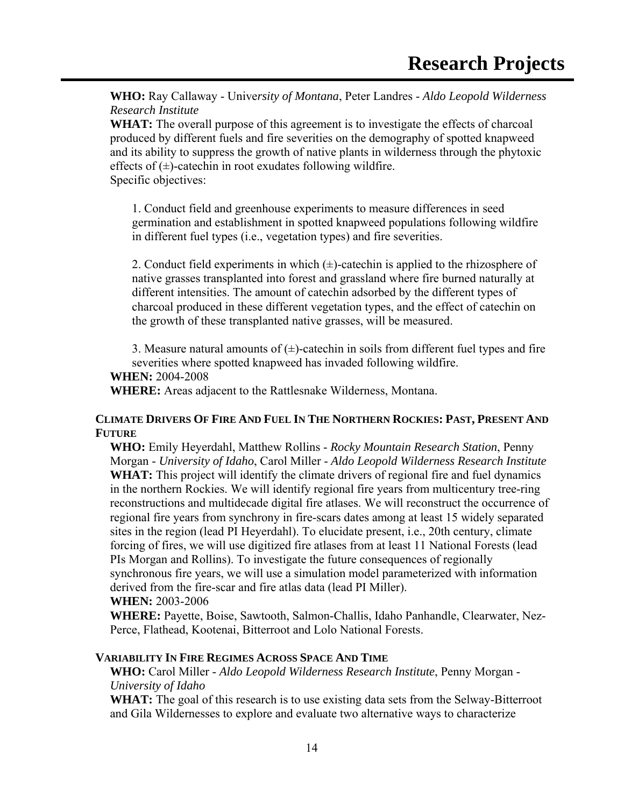**WHO:** Ray Callaway - Unive*rsity of Montana*, Peter Landres - *Aldo Leopold Wilderness Research Institute*

**WHAT:** The overall purpose of this agreement is to investigate the effects of charcoal produced by different fuels and fire severities on the demography of spotted knapweed and its ability to suppress the growth of native plants in wilderness through the phytoxic effects of  $(\pm)$ -catechin in root exudates following wildfire. Specific objectives:

1. Conduct field and greenhouse experiments to measure differences in seed germination and establishment in spotted knapweed populations following wildfire in different fuel types (i.e., vegetation types) and fire severities.

2. Conduct field experiments in which  $(\pm)$ -catechin is applied to the rhizosphere of native grasses transplanted into forest and grassland where fire burned naturally at different intensities. The amount of catechin adsorbed by the different types of charcoal produced in these different vegetation types, and the effect of catechin on the growth of these transplanted native grasses, will be measured.

3. Measure natural amounts of  $(\pm)$ -catechin in soils from different fuel types and fire severities where spotted knapweed has invaded following wildfire.

#### **WHEN:** 2004-2008

**WHERE:** Areas adjacent to the Rattlesnake Wilderness, Montana.

#### **CLIMATE DRIVERS OF FIRE AND FUEL IN THE NORTHERN ROCKIES: PAST, PRESENT AND FUTURE**

**WHO:** Emily Heyerdahl, Matthew Rollins - *Rocky Mountain Research Station*, Penny Morgan - *University of Idaho*, Carol Miller - *Aldo Leopold Wilderness Research Institute* **WHAT:** This project will identify the climate drivers of regional fire and fuel dynamics in the northern Rockies. We will identify regional fire years from multicentury tree-ring reconstructions and multidecade digital fire atlases. We will reconstruct the occurrence of regional fire years from synchrony in fire-scars dates among at least 15 widely separated sites in the region (lead PI Heyerdahl). To elucidate present, i.e., 20th century, climate forcing of fires, we will use digitized fire atlases from at least 11 National Forests (lead PIs Morgan and Rollins). To investigate the future consequences of regionally synchronous fire years, we will use a simulation model parameterized with information derived from the fire-scar and fire atlas data (lead PI Miller). **WHEN:** 2003-2006

**WHERE:** Payette, Boise, Sawtooth, Salmon-Challis, Idaho Panhandle, Clearwater, Nez-Perce, Flathead, Kootenai, Bitterroot and Lolo National Forests.

#### **VARIABILITY IN FIRE REGIMES ACROSS SPACE AND TIME**

**WHO:** Carol Miller - *Aldo Leopold Wilderness Research Institute*, Penny Morgan - *University of Idaho*

**WHAT:** The goal of this research is to use existing data sets from the Selway-Bitterroot and Gila Wildernesses to explore and evaluate two alternative ways to characterize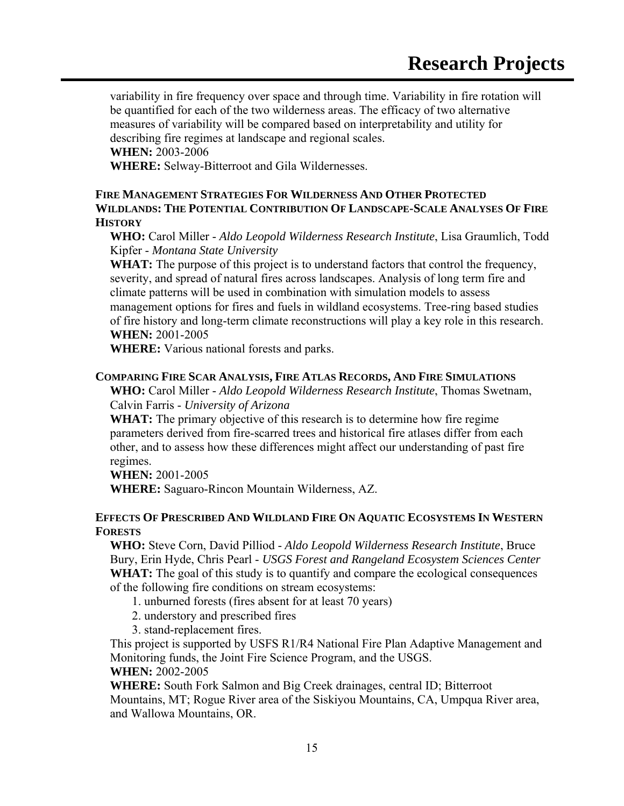variability in fire frequency over space and through time. Variability in fire rotation will be quantified for each of the two wilderness areas. The efficacy of two alternative measures of variability will be compared based on interpretability and utility for describing fire regimes at landscape and regional scales. **WHEN:** 2003-2006

**WHERE:** Selway-Bitterroot and Gila Wildernesses.

**FIRE MANAGEMENT STRATEGIES FOR WILDERNESS AND OTHER PROTECTED WILDLANDS: THE POTENTIAL CONTRIBUTION OF LANDSCAPE-SCALE ANALYSES OF FIRE HISTORY**

**WHO:** Carol Miller - *Aldo Leopold Wilderness Research Institute*, Lisa Graumlich, Todd Kipfer - *Montana State University*

WHAT: The purpose of this project is to understand factors that control the frequency, severity, and spread of natural fires across landscapes. Analysis of long term fire and climate patterns will be used in combination with simulation models to assess management options for fires and fuels in wildland ecosystems. Tree-ring based studies of fire history and long-term climate reconstructions will play a key role in this research. **WHEN:** 2001-2005

**WHERE:** Various national forests and parks.

#### **COMPARING FIRE SCAR ANALYSIS, FIRE ATLAS RECORDS, AND FIRE SIMULATIONS**

**WHO:** Carol Miller - *Aldo Leopold Wilderness Research Institute*, Thomas Swetnam, Calvin Farris - *University of Arizona*

**WHAT:** The primary objective of this research is to determine how fire regime parameters derived from fire-scarred trees and historical fire atlases differ from each other, and to assess how these differences might affect our understanding of past fire regimes.

**WHEN:** 2001-2005

**WHERE:** Saguaro-Rincon Mountain Wilderness, AZ.

#### **EFFECTS OF PRESCRIBED AND WILDLAND FIRE ON AQUATIC ECOSYSTEMS IN WESTERN FORESTS**

**WHO:** Steve Corn, David Pilliod - *Aldo Leopold Wilderness Research Institute*, Bruce Bury, Erin Hyde, Chris Pearl - *USGS Forest and Rangeland Ecosystem Sciences Center* **WHAT:** The goal of this study is to quantify and compare the ecological consequences of the following fire conditions on stream ecosystems:

1. unburned forests (fires absent for at least 70 years)

- 2. understory and prescribed fires
- 3. stand-replacement fires.

This project is supported by USFS R1/R4 National Fire Plan Adaptive Management and Monitoring funds, the Joint Fire Science Program, and the USGS. **WHEN:** 2002-2005

**WHERE:** South Fork Salmon and Big Creek drainages, central ID; Bitterroot

Mountains, MT; Rogue River area of the Siskiyou Mountains, CA, Umpqua River area, and Wallowa Mountains, OR.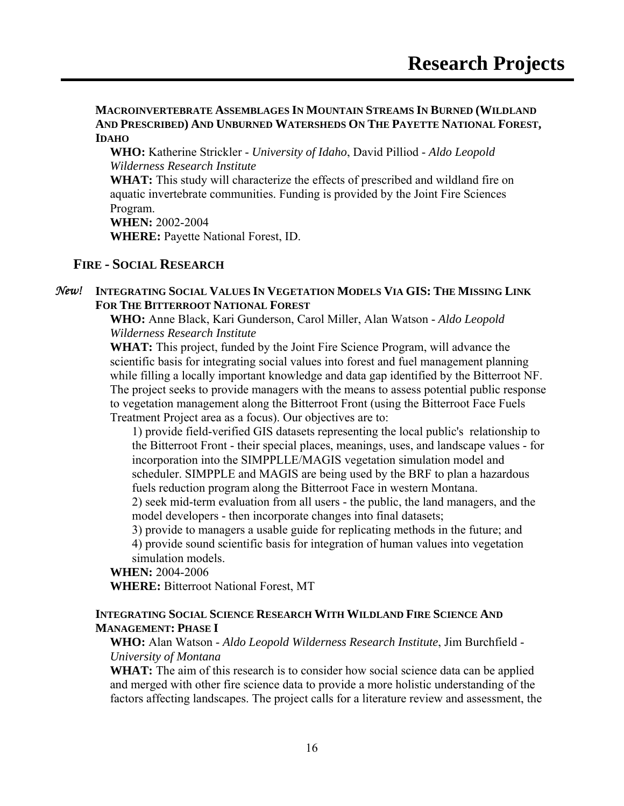**MACROINVERTEBRATE ASSEMBLAGES IN MOUNTAIN STREAMS IN BURNED (WILDLAND AND PRESCRIBED) AND UNBURNED WATERSHEDS ON THE PAYETTE NATIONAL FOREST, IDAHO**

**WHO:** Katherine Strickler - *University of Idaho*, David Pilliod - *Aldo Leopold Wilderness Research Institute*

**WHAT:** This study will characterize the effects of prescribed and wildland fire on aquatic invertebrate communities. Funding is provided by the Joint Fire Sciences Program.

**WHEN:** 2002-2004

**WHERE:** Payette National Forest, ID.

### **FIRE - SOCIAL RESEARCH**

#### *New!* **INTEGRATING SOCIAL VALUES IN VEGETATION MODELS VIA GIS: THE MISSING LINK FOR THE BITTERROOT NATIONAL FOREST**

**WHO:** Anne Black, Kari Gunderson, Carol Miller, Alan Watson - *Aldo Leopold Wilderness Research Institute*

**WHAT:** This project, funded by the Joint Fire Science Program, will advance the scientific basis for integrating social values into forest and fuel management planning while filling a locally important knowledge and data gap identified by the Bitterroot NF. The project seeks to provide managers with the means to assess potential public response to vegetation management along the Bitterroot Front (using the Bitterroot Face Fuels Treatment Project area as a focus). Our objectives are to:

1) provide field-verified GIS datasets representing the local public's relationship to the Bitterroot Front - their special places, meanings, uses, and landscape values - for incorporation into the SIMPPLLE/MAGIS vegetation simulation model and scheduler. SIMPPLE and MAGIS are being used by the BRF to plan a hazardous fuels reduction program along the Bitterroot Face in western Montana.

2) seek mid-term evaluation from all users - the public, the land managers, and the model developers - then incorporate changes into final datasets;

3) provide to managers a usable guide for replicating methods in the future; and

4) provide sound scientific basis for integration of human values into vegetation simulation models.

#### **WHEN:** 2004-2006

**WHERE:** Bitterroot National Forest, MT

#### **INTEGRATING SOCIAL SCIENCE RESEARCH WITH WILDLAND FIRE SCIENCE AND MANAGEMENT: PHASE I**

#### **WHO:** Alan Watson - *Aldo Leopold Wilderness Research Institute*, Jim Burchfield - *University of Montana*

**WHAT:** The aim of this research is to consider how social science data can be applied and merged with other fire science data to provide a more holistic understanding of the factors affecting landscapes. The project calls for a literature review and assessment, the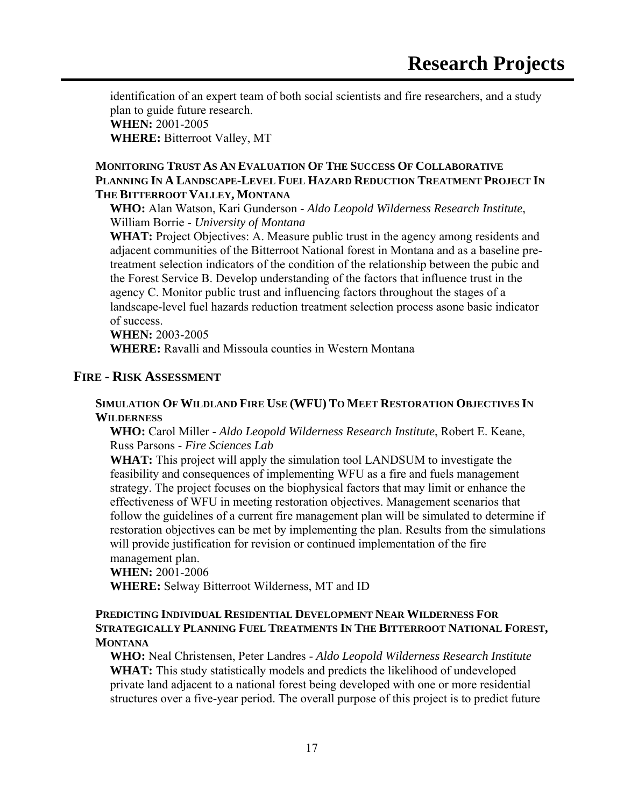identification of an expert team of both social scientists and fire researchers, and a study plan to guide future research. **WHEN:** 2001-2005

**WHERE:** Bitterroot Valley, MT

#### **MONITORING TRUST AS AN EVALUATION OF THE SUCCESS OF COLLABORATIVE PLANNING IN A LANDSCAPE-LEVEL FUEL HAZARD REDUCTION TREATMENT PROJECT IN THE BITTERROOT VALLEY, MONTANA**

**WHO:** Alan Watson, Kari Gunderson - *Aldo Leopold Wilderness Research Institute*, William Borrie - *University of Montana*

**WHAT:** Project Objectives: A. Measure public trust in the agency among residents and adjacent communities of the Bitterroot National forest in Montana and as a baseline pretreatment selection indicators of the condition of the relationship between the pubic and the Forest Service B. Develop understanding of the factors that influence trust in the agency C. Monitor public trust and influencing factors throughout the stages of a landscape-level fuel hazards reduction treatment selection process asone basic indicator of success.

**WHEN:** 2003-2005

**WHERE:** Ravalli and Missoula counties in Western Montana

### **FIRE - RISK ASSESSMENT**

#### **SIMULATION OF WILDLAND FIRE USE (WFU) TO MEET RESTORATION OBJECTIVES IN WILDERNESS**

**WHO:** Carol Miller - *Aldo Leopold Wilderness Research Institute*, Robert E. Keane, Russ Parsons - *Fire Sciences Lab*

**WHAT:** This project will apply the simulation tool LANDSUM to investigate the feasibility and consequences of implementing WFU as a fire and fuels management strategy. The project focuses on the biophysical factors that may limit or enhance the effectiveness of WFU in meeting restoration objectives. Management scenarios that follow the guidelines of a current fire management plan will be simulated to determine if restoration objectives can be met by implementing the plan. Results from the simulations will provide justification for revision or continued implementation of the fire management plan.

#### **WHEN:** 2001-2006

**WHERE:** Selway Bitterroot Wilderness, MT and ID

#### **PREDICTING INDIVIDUAL RESIDENTIAL DEVELOPMENT NEAR WILDERNESS FOR STRATEGICALLY PLANNING FUEL TREATMENTS IN THE BITTERROOT NATIONAL FOREST, MONTANA**

**WHO:** Neal Christensen, Peter Landres - *Aldo Leopold Wilderness Research Institute* **WHAT:** This study statistically models and predicts the likelihood of undeveloped private land adjacent to a national forest being developed with one or more residential structures over a five-year period. The overall purpose of this project is to predict future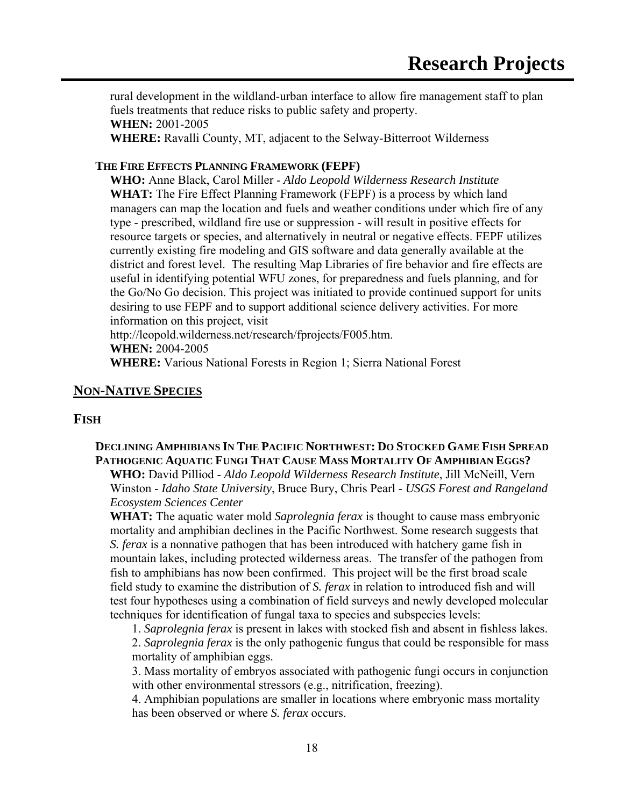rural development in the wildland-urban interface to allow fire management staff to plan fuels treatments that reduce risks to public safety and property. **WHEN:** 2001-2005

**WHERE:** Ravalli County, MT, adjacent to the Selway-Bitterroot Wilderness

#### **THE FIRE EFFECTS PLANNING FRAMEWORK (FEPF)**

**WHO:** Anne Black, Carol Miller - *Aldo Leopold Wilderness Research Institute* **WHAT:** The Fire Effect Planning Framework (FEPF) is a process by which land managers can map the location and fuels and weather conditions under which fire of any type - prescribed, wildland fire use or suppression - will result in positive effects for resource targets or species, and alternatively in neutral or negative effects. FEPF utilizes currently existing fire modeling and GIS software and data generally available at the district and forest level. The resulting Map Libraries of fire behavior and fire effects are useful in identifying potential WFU zones, for preparedness and fuels planning, and for the Go/No Go decision. This project was initiated to provide continued support for units desiring to use FEPF and to support additional science delivery activities. For more information on this project, visit

http://leopold.wilderness.net/research/fprojects/F005.htm.

**WHEN:** 2004-2005

**WHERE:** Various National Forests in Region 1; Sierra National Forest

### **NON-NATIVE SPECIES**

#### **FISH**

#### **DECLINING AMPHIBIANS IN THE PACIFIC NORTHWEST: DO STOCKED GAME FISH SPREAD PATHOGENIC AQUATIC FUNGI THAT CAUSE MASS MORTALITY OF AMPHIBIAN EGGS?**

**WHO:** David Pilliod - *Aldo Leopold Wilderness Research Institute*, Jill McNeill, Vern Winston - *Idaho State University*, Bruce Bury, Chris Pearl - *USGS Forest and Rangeland Ecosystem Sciences Center*

**WHAT:** The aquatic water mold *Saprolegnia ferax* is thought to cause mass embryonic mortality and amphibian declines in the Pacific Northwest. Some research suggests that *S. ferax* is a nonnative pathogen that has been introduced with hatchery game fish in mountain lakes, including protected wilderness areas. The transfer of the pathogen from fish to amphibians has now been confirmed. This project will be the first broad scale field study to examine the distribution of *S. ferax* in relation to introduced fish and will test four hypotheses using a combination of field surveys and newly developed molecular techniques for identification of fungal taxa to species and subspecies levels:

1. *Saprolegnia ferax* is present in lakes with stocked fish and absent in fishless lakes. 2. *Saprolegnia ferax* is the only pathogenic fungus that could be responsible for mass mortality of amphibian eggs.

3. Mass mortality of embryos associated with pathogenic fungi occurs in conjunction with other environmental stressors (e.g., nitrification, freezing).

4. Amphibian populations are smaller in locations where embryonic mass mortality has been observed or where *S. ferax* occurs.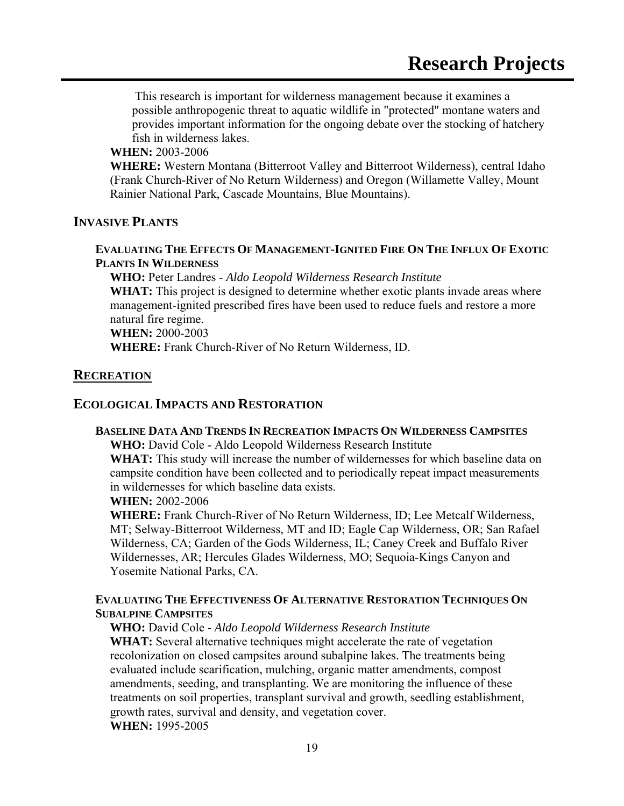This research is important for wilderness management because it examines a possible anthropogenic threat to aquatic wildlife in "protected" montane waters and provides important information for the ongoing debate over the stocking of hatchery fish in wilderness lakes.

#### **WHEN:** 2003-2006

**WHERE:** Western Montana (Bitterroot Valley and Bitterroot Wilderness), central Idaho (Frank Church-River of No Return Wilderness) and Oregon (Willamette Valley, Mount Rainier National Park, Cascade Mountains, Blue Mountains).

#### **INVASIVE PLANTS**

#### **EVALUATING THE EFFECTS OF MANAGEMENT-IGNITED FIRE ON THE INFLUX OF EXOTIC PLANTS IN WILDERNESS**

**WHO:** Peter Landres - *Aldo Leopold Wilderness Research Institute* **WHAT:** This project is designed to determine whether exotic plants invade areas where management-ignited prescribed fires have been used to reduce fuels and restore a more natural fire regime. **WHEN:** 2000-2003 **WHERE:** Frank Church-River of No Return Wilderness, ID.

#### **RECREATION**

#### **ECOLOGICAL IMPACTS AND RESTORATION**

#### **BASELINE DATA AND TRENDS IN RECREATION IMPACTS ON WILDERNESS CAMPSITES**

**WHO:** David Cole - Aldo Leopold Wilderness Research Institute

**WHAT:** This study will increase the number of wildernesses for which baseline data on campsite condition have been collected and to periodically repeat impact measurements in wildernesses for which baseline data exists.

#### **WHEN:** 2002-2006

**WHERE:** Frank Church-River of No Return Wilderness, ID; Lee Metcalf Wilderness, MT; Selway-Bitterroot Wilderness, MT and ID; Eagle Cap Wilderness, OR; San Rafael Wilderness, CA; Garden of the Gods Wilderness, IL; Caney Creek and Buffalo River Wildernesses, AR; Hercules Glades Wilderness, MO; Sequoia-Kings Canyon and Yosemite National Parks, CA.

#### **EVALUATING THE EFFECTIVENESS OF ALTERNATIVE RESTORATION TECHNIQUES ON SUBALPINE CAMPSITES**

**WHO:** David Cole - *Aldo Leopold Wilderness Research Institute*

**WHAT:** Several alternative techniques might accelerate the rate of vegetation recolonization on closed campsites around subalpine lakes. The treatments being evaluated include scarification, mulching, organic matter amendments, compost amendments, seeding, and transplanting. We are monitoring the influence of these treatments on soil properties, transplant survival and growth, seedling establishment, growth rates, survival and density, and vegetation cover. **WHEN:** 1995-2005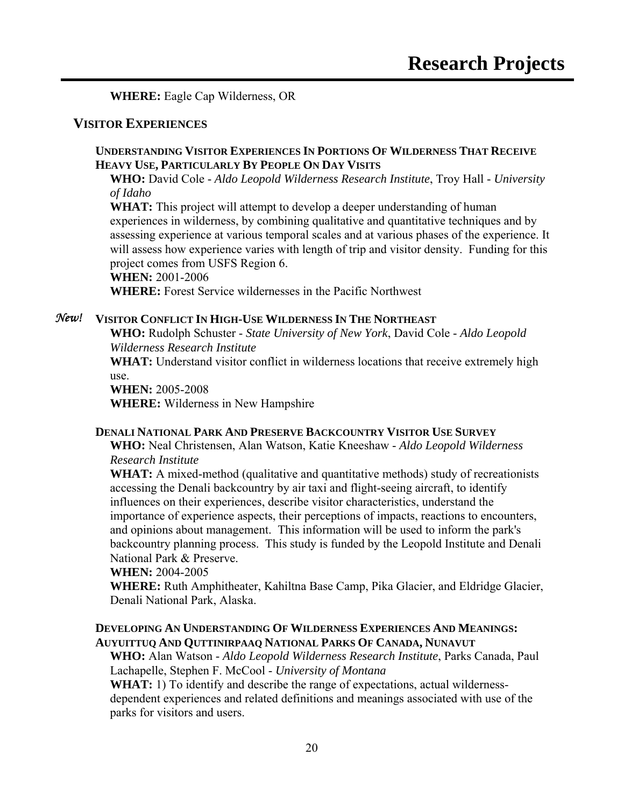**WHERE:** Eagle Cap Wilderness, OR

#### **VISITOR EXPERIENCES**

#### **UNDERSTANDING VISITOR EXPERIENCES IN PORTIONS OF WILDERNESS THAT RECEIVE HEAVY USE, PARTICULARLY BY PEOPLE ON DAY VISITS**

**WHO:** David Cole - *Aldo Leopold Wilderness Research Institute*, Troy Hall - *University of Idaho*

**WHAT:** This project will attempt to develop a deeper understanding of human experiences in wilderness, by combining qualitative and quantitative techniques and by assessing experience at various temporal scales and at various phases of the experience. It will assess how experience varies with length of trip and visitor density. Funding for this project comes from USFS Region 6. **WHEN:** 2001-2006

**WHERE:** Forest Service wildernesses in the Pacific Northwest

#### *New!* **VISITOR CONFLICT IN HIGH-USE WILDERNESS IN THE NORTHEAST**

**WHO:** Rudolph Schuster - *State University of New York*, David Cole - *Aldo Leopold Wilderness Research Institute*

**WHAT:** Understand visitor conflict in wilderness locations that receive extremely high use.

**WHEN:** 2005-2008 **WHERE:** Wilderness in New Hampshire

#### **DENALI NATIONAL PARK AND PRESERVE BACKCOUNTRY VISITOR USE SURVEY**

**WHO:** Neal Christensen, Alan Watson, Katie Kneeshaw - *Aldo Leopold Wilderness Research Institute*

**WHAT:** A mixed-method (qualitative and quantitative methods) study of recreationists accessing the Denali backcountry by air taxi and flight-seeing aircraft, to identify influences on their experiences, describe visitor characteristics, understand the importance of experience aspects, their perceptions of impacts, reactions to encounters, and opinions about management. This information will be used to inform the park's backcountry planning process. This study is funded by the Leopold Institute and Denali National Park & Preserve.

#### **WHEN:** 2004-2005

**WHERE:** Ruth Amphitheater, Kahiltna Base Camp, Pika Glacier, and Eldridge Glacier, Denali National Park, Alaska.

#### **DEVELOPING AN UNDERSTANDING OF WILDERNESS EXPERIENCES AND MEANINGS: AUYUITTUQ AND QUTTINIRPAAQ NATIONAL PARKS OF CANADA, NUNAVUT**

**WHO:** Alan Watson - *Aldo Leopold Wilderness Research Institute*, Parks Canada, Paul Lachapelle, Stephen F. McCool - *University of Montana*

**WHAT:** 1) To identify and describe the range of expectations, actual wildernessdependent experiences and related definitions and meanings associated with use of the parks for visitors and users.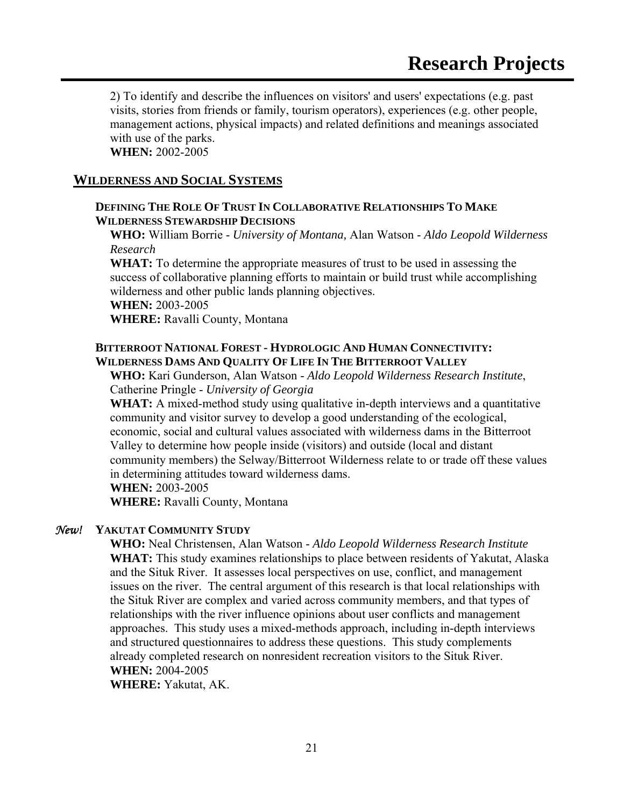2) To identify and describe the influences on visitors' and users' expectations (e.g. past visits, stories from friends or family, tourism operators), experiences (e.g. other people, management actions, physical impacts) and related definitions and meanings associated with use of the parks.

**WHEN:** 2002-2005

#### **WILDERNESS AND SOCIAL SYSTEMS**

#### **DEFINING THE ROLE OF TRUST IN COLLABORATIVE RELATIONSHIPS TO MAKE WILDERNESS STEWARDSHIP DECISIONS**

**WHO:** William Borrie - *University of Montana,* Alan Watson - *Aldo Leopold Wilderness Research* 

**WHAT:** To determine the appropriate measures of trust to be used in assessing the success of collaborative planning efforts to maintain or build trust while accomplishing wilderness and other public lands planning objectives.

**WHEN:** 2003-2005

**WHERE:** Ravalli County, Montana

#### **BITTERROOT NATIONAL FOREST - HYDROLOGIC AND HUMAN CONNECTIVITY: WILDERNESS DAMS AND QUALITY OF LIFE IN THE BITTERROOT VALLEY**

**WHO:** Kari Gunderson, Alan Watson - *Aldo Leopold Wilderness Research Institute*, Catherine Pringle - *University of Georgia*

**WHAT:** A mixed-method study using qualitative in-depth interviews and a quantitative community and visitor survey to develop a good understanding of the ecological, economic, social and cultural values associated with wilderness dams in the Bitterroot Valley to determine how people inside (visitors) and outside (local and distant community members) the Selway/Bitterroot Wilderness relate to or trade off these values in determining attitudes toward wilderness dams.

**WHEN:** 2003-2005

**WHERE:** Ravalli County, Montana

#### *New!* **YAKUTAT COMMUNITY STUDY**

**WHO:** Neal Christensen, Alan Watson - *Aldo Leopold Wilderness Research Institute* **WHAT:** This study examines relationships to place between residents of Yakutat, Alaska and the Situk River. It assesses local perspectives on use, conflict, and management issues on the river. The central argument of this research is that local relationships with the Situk River are complex and varied across community members, and that types of relationships with the river influence opinions about user conflicts and management approaches. This study uses a mixed-methods approach, including in-depth interviews and structured questionnaires to address these questions. This study complements already completed research on nonresident recreation visitors to the Situk River. **WHEN:** 2004-2005

**WHERE:** Yakutat, AK.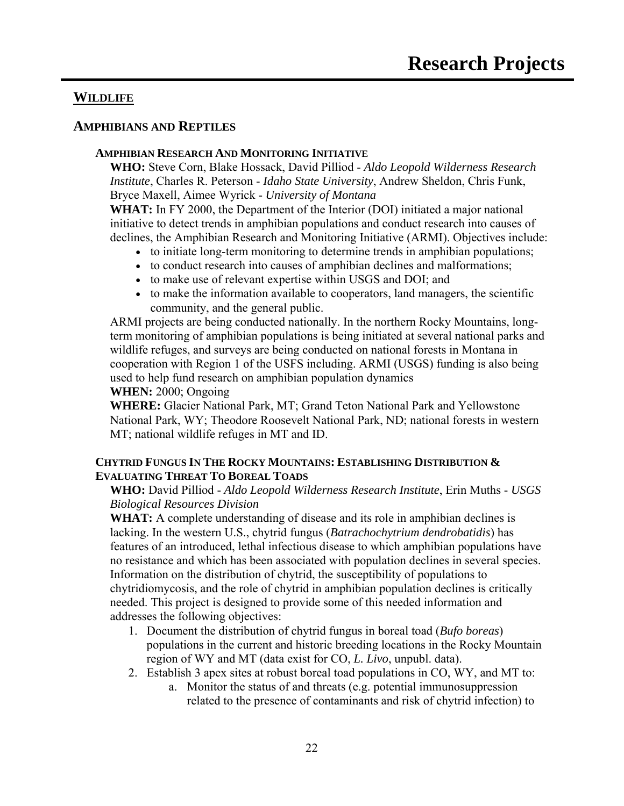### **WILDLIFE**

#### **AMPHIBIANS AND REPTILES**

#### **AMPHIBIAN RESEARCH AND MONITORING INITIATIVE**

**WHO:** Steve Corn, Blake Hossack, David Pilliod - *Aldo Leopold Wilderness Research Institute*, Charles R. Peterson - *Idaho State University*, Andrew Sheldon, Chris Funk, Bryce Maxell, Aimee Wyrick - *University of Montana*

**WHAT:** In FY 2000, the Department of the Interior (DOI) initiated a major national initiative to detect trends in amphibian populations and conduct research into causes of declines, the Amphibian Research and Monitoring Initiative (ARMI). Objectives include:

- to initiate long-term monitoring to determine trends in amphibian populations;
- to conduct research into causes of amphibian declines and malformations;
- to make use of relevant expertise within USGS and DOI; and
- to make the information available to cooperators, land managers, the scientific community, and the general public.

ARMI projects are being conducted nationally. In the northern Rocky Mountains, longterm monitoring of amphibian populations is being initiated at several national parks and wildlife refuges, and surveys are being conducted on national forests in Montana in cooperation with Region 1 of the USFS including. ARMI (USGS) funding is also being used to help fund research on amphibian population dynamics

**WHEN:** 2000; Ongoing

**WHERE:** Glacier National Park, MT; Grand Teton National Park and Yellowstone National Park, WY; Theodore Roosevelt National Park, ND; national forests in western MT; national wildlife refuges in MT and ID.

#### **CHYTRID FUNGUS IN THE ROCKY MOUNTAINS: ESTABLISHING DISTRIBUTION & EVALUATING THREAT TO BOREAL TOADS**

#### **WHO:** David Pilliod - *Aldo Leopold Wilderness Research Institute*, Erin Muths - *USGS Biological Resources Division*

**WHAT:** A complete understanding of disease and its role in amphibian declines is lacking. In the western U.S., chytrid fungus (*Batrachochytrium dendrobatidis*) has features of an introduced, lethal infectious disease to which amphibian populations have no resistance and which has been associated with population declines in several species. Information on the distribution of chytrid, the susceptibility of populations to chytridiomycosis, and the role of chytrid in amphibian population declines is critically needed. This project is designed to provide some of this needed information and addresses the following objectives:

- 1. Document the distribution of chytrid fungus in boreal toad (*Bufo boreas*) populations in the current and historic breeding locations in the Rocky Mountain region of WY and MT (data exist for CO, *L. Livo*, unpubl. data).
- 2. Establish 3 apex sites at robust boreal toad populations in CO, WY, and MT to:
	- a. Monitor the status of and threats (e.g. potential immunosuppression related to the presence of contaminants and risk of chytrid infection) to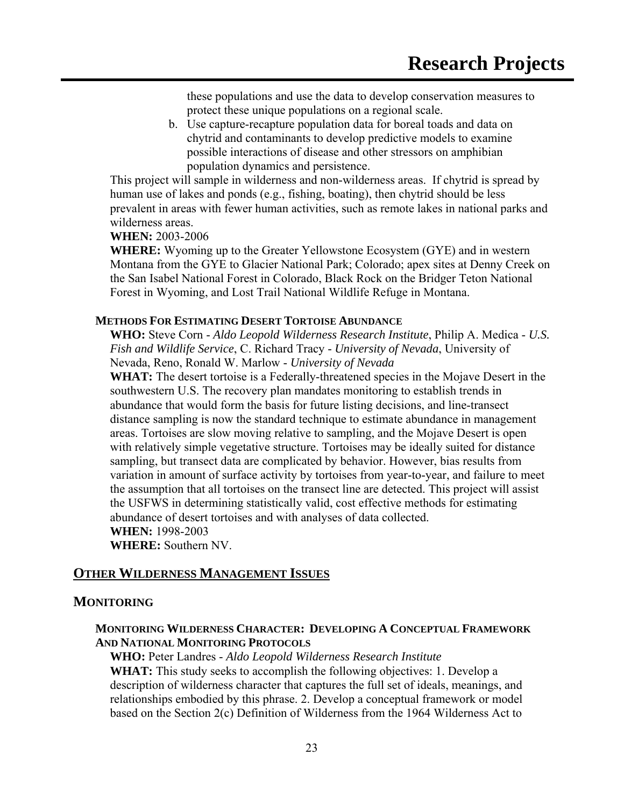these populations and use the data to develop conservation measures to protect these unique populations on a regional scale.

b. Use capture-recapture population data for boreal toads and data on chytrid and contaminants to develop predictive models to examine possible interactions of disease and other stressors on amphibian population dynamics and persistence.

This project will sample in wilderness and non-wilderness areas. If chytrid is spread by human use of lakes and ponds (e.g., fishing, boating), then chytrid should be less prevalent in areas with fewer human activities, such as remote lakes in national parks and wilderness areas.

#### **WHEN:** 2003-2006

**WHERE:** Wyoming up to the Greater Yellowstone Ecosystem (GYE) and in western Montana from the GYE to Glacier National Park; Colorado; apex sites at Denny Creek on the San Isabel National Forest in Colorado, Black Rock on the Bridger Teton National Forest in Wyoming, and Lost Trail National Wildlife Refuge in Montana.

#### **METHODS FOR ESTIMATING DESERT TORTOISE ABUNDANCE**

**WHO:** Steve Corn - *Aldo Leopold Wilderness Research Institute*, Philip A. Medica - *U.S. Fish and Wildlife Service*, C. Richard Tracy - *University of Nevada*, University of Nevada, Reno, Ronald W. Marlow - *University of Nevada*

**WHAT:** The desert tortoise is a Federally-threatened species in the Mojave Desert in the southwestern U.S. The recovery plan mandates monitoring to establish trends in abundance that would form the basis for future listing decisions, and line-transect distance sampling is now the standard technique to estimate abundance in management areas. Tortoises are slow moving relative to sampling, and the Mojave Desert is open with relatively simple vegetative structure. Tortoises may be ideally suited for distance sampling, but transect data are complicated by behavior. However, bias results from variation in amount of surface activity by tortoises from year-to-year, and failure to meet the assumption that all tortoises on the transect line are detected. This project will assist the USFWS in determining statistically valid, cost effective methods for estimating abundance of desert tortoises and with analyses of data collected. **WHEN:** 1998-2003

**WHERE:** Southern NV.

### **OTHER WILDERNESS MANAGEMENT ISSUES**

#### **MONITORING**

#### **MONITORING WILDERNESS CHARACTER: DEVELOPING A CONCEPTUAL FRAMEWORK AND NATIONAL MONITORING PROTOCOLS**

**WHO:** Peter Landres - *Aldo Leopold Wilderness Research Institute* **WHAT:** This study seeks to accomplish the following objectives: 1. Develop a description of wilderness character that captures the full set of ideals, meanings, and relationships embodied by this phrase. 2. Develop a conceptual framework or model based on the Section 2(c) Definition of Wilderness from the 1964 Wilderness Act to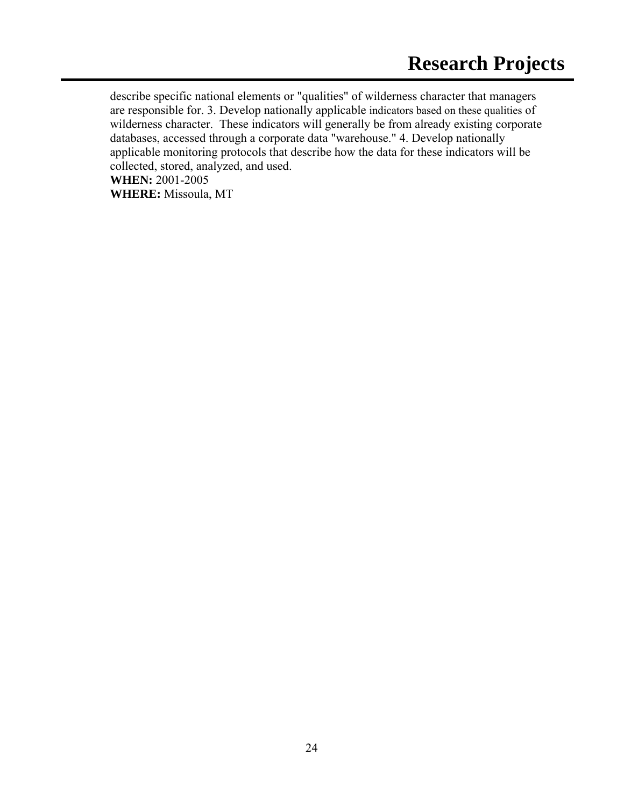describe specific national elements or "qualities" of wilderness character that managers are responsible for. 3. Develop nationally applicable indicators based on these qualities of wilderness character. These indicators will generally be from already existing corporate databases, accessed through a corporate data "warehouse." 4. Develop nationally applicable monitoring protocols that describe how the data for these indicators will be collected, stored, analyzed, and used. **WHEN:** 2001-2005

**WHERE:** Missoula, MT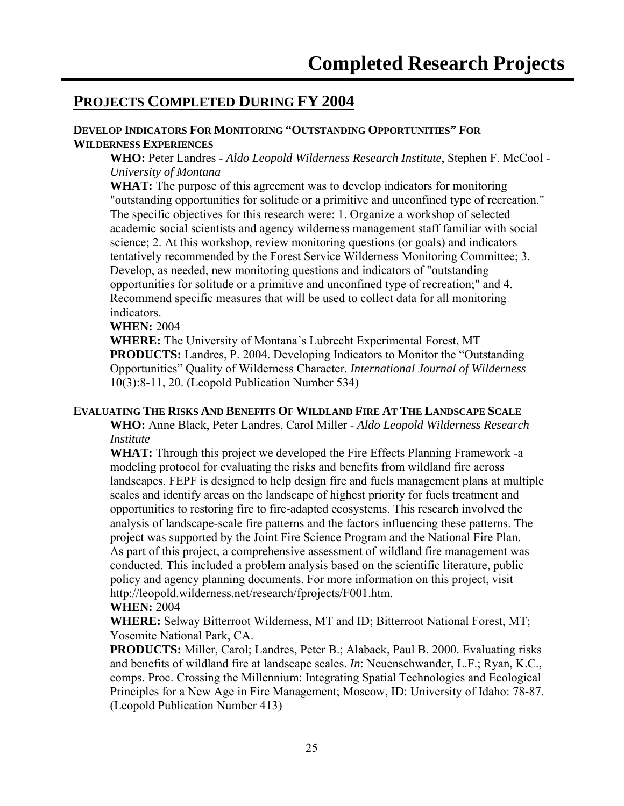## **PROJECTS COMPLETED DURING FY 2004**

#### **DEVELOP INDICATORS FOR MONITORING "OUTSTANDING OPPORTUNITIES" FOR WILDERNESS EXPERIENCES**

**WHO:** Peter Landres - *Aldo Leopold Wilderness Research Institute*, Stephen F. McCool - *University of Montana*

**WHAT:** The purpose of this agreement was to develop indicators for monitoring "outstanding opportunities for solitude or a primitive and unconfined type of recreation." The specific objectives for this research were: 1. Organize a workshop of selected academic social scientists and agency wilderness management staff familiar with social science; 2. At this workshop, review monitoring questions (or goals) and indicators tentatively recommended by the Forest Service Wilderness Monitoring Committee; 3. Develop, as needed, new monitoring questions and indicators of "outstanding opportunities for solitude or a primitive and unconfined type of recreation;" and 4. Recommend specific measures that will be used to collect data for all monitoring indicators.

#### **WHEN:** 2004

**WHERE:** The University of Montana's Lubrecht Experimental Forest, MT **PRODUCTS:** Landres, P. 2004. Developing Indicators to Monitor the "Outstanding Opportunities" Quality of Wilderness Character. *International Journal of Wilderness* 10(3):8-11, 20. (Leopold Publication Number 534)

#### **EVALUATING THE RISKS AND BENEFITS OF WILDLAND FIRE AT THE LANDSCAPE SCALE**

**WHO:** Anne Black, Peter Landres, Carol Miller - *Aldo Leopold Wilderness Research Institute*

**WHAT:** Through this project we developed the Fire Effects Planning Framework -a modeling protocol for evaluating the risks and benefits from wildland fire across landscapes. FEPF is designed to help design fire and fuels management plans at multiple scales and identify areas on the landscape of highest priority for fuels treatment and opportunities to restoring fire to fire-adapted ecosystems. This research involved the analysis of landscape-scale fire patterns and the factors influencing these patterns. The project was supported by the Joint Fire Science Program and the National Fire Plan. As part of this project, a comprehensive assessment of wildland fire management was conducted. This included a problem analysis based on the scientific literature, public policy and agency planning documents. For more information on this project, visit http://leopold.wilderness.net/research/fprojects/F001.htm.

#### **WHEN:** 2004

**WHERE:** Selway Bitterroot Wilderness, MT and ID; Bitterroot National Forest, MT; Yosemite National Park, CA.

**PRODUCTS:** Miller, Carol; Landres, Peter B.; Alaback, Paul B. 2000. Evaluating risks and benefits of wildland fire at landscape scales. *In*: Neuenschwander, L.F.; Ryan, K.C., comps. Proc. Crossing the Millennium: Integrating Spatial Technologies and Ecological Principles for a New Age in Fire Management; Moscow, ID: University of Idaho: 78-87. (Leopold Publication Number 413)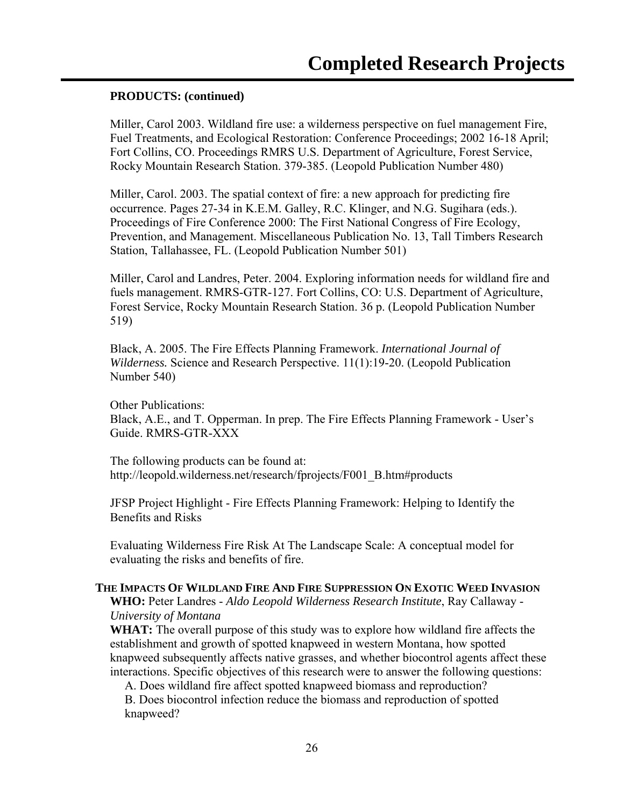#### **PRODUCTS: (continued)**

Miller, Carol 2003. Wildland fire use: a wilderness perspective on fuel management Fire, Fuel Treatments, and Ecological Restoration: Conference Proceedings; 2002 16-18 April; Fort Collins, CO. Proceedings RMRS U.S. Department of Agriculture, Forest Service, Rocky Mountain Research Station. 379-385. (Leopold Publication Number 480)

Miller, Carol. 2003. The spatial context of fire: a new approach for predicting fire occurrence. Pages 27-34 in K.E.M. Galley, R.C. Klinger, and N.G. Sugihara (eds.). Proceedings of Fire Conference 2000: The First National Congress of Fire Ecology, Prevention, and Management. Miscellaneous Publication No. 13, Tall Timbers Research Station, Tallahassee, FL. (Leopold Publication Number 501)

Miller, Carol and Landres, Peter. 2004. Exploring information needs for wildland fire and fuels management. RMRS-GTR-127. Fort Collins, CO: U.S. Department of Agriculture, Forest Service, Rocky Mountain Research Station. 36 p. (Leopold Publication Number 519)

Black, A. 2005. The Fire Effects Planning Framework. *International Journal of Wilderness.* Science and Research Perspective. 11(1):19-20. (Leopold Publication Number 540)

Other Publications: Black, A.E., and T. Opperman. In prep. The Fire Effects Planning Framework - User's Guide. RMRS-GTR-XXX

The following products can be found at: http://leopold.wilderness.net/research/fprojects/F001\_B.htm#products

JFSP Project Highlight - Fire Effects Planning Framework: Helping to Identify the Benefits and Risks

Evaluating Wilderness Fire Risk At The Landscape Scale: A conceptual model for evaluating the risks and benefits of fire.

#### **THE IMPACTS OF WILDLAND FIRE AND FIRE SUPPRESSION ON EXOTIC WEED INVASION**

**WHO:** Peter Landres - *Aldo Leopold Wilderness Research Institute*, Ray Callaway - *University of Montana*

**WHAT:** The overall purpose of this study was to explore how wildland fire affects the establishment and growth of spotted knapweed in western Montana, how spotted knapweed subsequently affects native grasses, and whether biocontrol agents affect these interactions. Specific objectives of this research were to answer the following questions:

A. Does wildland fire affect spotted knapweed biomass and reproduction?

B. Does biocontrol infection reduce the biomass and reproduction of spotted knapweed?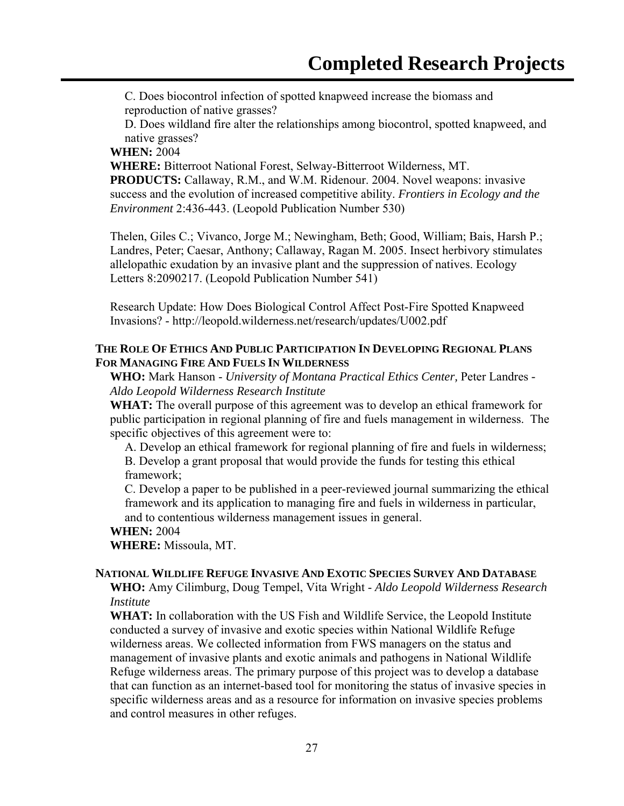C. Does biocontrol infection of spotted knapweed increase the biomass and reproduction of native grasses?

D. Does wildland fire alter the relationships among biocontrol, spotted knapweed, and native grasses?

#### **WHEN:** 2004

**WHERE:** Bitterroot National Forest, Selway-Bitterroot Wilderness, MT.

**PRODUCTS:** Callaway, R.M., and W.M. Ridenour. 2004. Novel weapons: invasive success and the evolution of increased competitive ability. *Frontiers in Ecology and the Environment* 2:436-443. (Leopold Publication Number 530)

Thelen, Giles C.; Vivanco, Jorge M.; Newingham, Beth; Good, William; Bais, Harsh P.; Landres, Peter; Caesar, Anthony; Callaway, Ragan M. 2005. Insect herbivory stimulates allelopathic exudation by an invasive plant and the suppression of natives. Ecology Letters 8:2090217. (Leopold Publication Number 541)

Research Update: How Does Biological Control Affect Post-Fire Spotted Knapweed Invasions? - http://leopold.wilderness.net/research/updates/U002.pdf

#### **THE ROLE OF ETHICS AND PUBLIC PARTICIPATION IN DEVELOPING REGIONAL PLANS FOR MANAGING FIRE AND FUELS IN WILDERNESS**

**WHO:** Mark Hanson - *University of Montana Practical Ethics Center,* Peter Landres *- Aldo Leopold Wilderness Research Institute* 

**WHAT:** The overall purpose of this agreement was to develop an ethical framework for public participation in regional planning of fire and fuels management in wilderness. The specific objectives of this agreement were to:

A. Develop an ethical framework for regional planning of fire and fuels in wilderness; B. Develop a grant proposal that would provide the funds for testing this ethical framework;

C. Develop a paper to be published in a peer-reviewed journal summarizing the ethical framework and its application to managing fire and fuels in wilderness in particular, and to contentious wilderness management issues in general.

#### **WHEN:** 2004

**WHERE:** Missoula, MT.

### **NATIONAL WILDLIFE REFUGE INVASIVE AND EXOTIC SPECIES SURVEY AND DATABASE**

**WHO:** Amy Cilimburg, Doug Tempel, Vita Wright - *Aldo Leopold Wilderness Research Institute*

**WHAT:** In collaboration with the US Fish and Wildlife Service, the Leopold Institute conducted a survey of invasive and exotic species within National Wildlife Refuge wilderness areas. We collected information from FWS managers on the status and management of invasive plants and exotic animals and pathogens in National Wildlife Refuge wilderness areas. The primary purpose of this project was to develop a database that can function as an internet-based tool for monitoring the status of invasive species in specific wilderness areas and as a resource for information on invasive species problems and control measures in other refuges.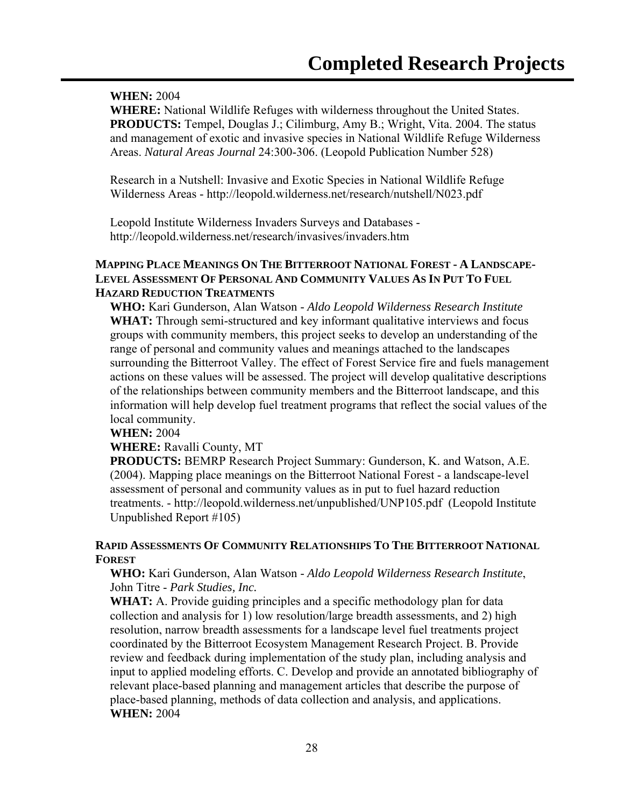#### **WHEN:** 2004

**WHERE:** National Wildlife Refuges with wilderness throughout the United States. **PRODUCTS:** Tempel, Douglas J.; Cilimburg, Amy B.; Wright, Vita. 2004. The status and management of exotic and invasive species in National Wildlife Refuge Wilderness Areas. *Natural Areas Journal* 24:300-306. (Leopold Publication Number 528)

Research in a Nutshell: Invasive and Exotic Species in National Wildlife Refuge Wilderness Areas - http://leopold.wilderness.net/research/nutshell/N023.pdf

Leopold Institute Wilderness Invaders Surveys and Databases http://leopold.wilderness.net/research/invasives/invaders.htm

#### **MAPPING PLACE MEANINGS ON THE BITTERROOT NATIONAL FOREST - A LANDSCAPE-LEVEL ASSESSMENT OF PERSONAL AND COMMUNITY VALUES AS IN PUT TO FUEL HAZARD REDUCTION TREATMENTS**

**WHO:** Kari Gunderson, Alan Watson - *Aldo Leopold Wilderness Research Institute* **WHAT:** Through semi-structured and key informant qualitative interviews and focus groups with community members, this project seeks to develop an understanding of the range of personal and community values and meanings attached to the landscapes surrounding the Bitterroot Valley. The effect of Forest Service fire and fuels management actions on these values will be assessed. The project will develop qualitative descriptions of the relationships between community members and the Bitterroot landscape, and this information will help develop fuel treatment programs that reflect the social values of the local community.

#### **WHEN:** 2004

#### **WHERE:** Ravalli County, MT

**PRODUCTS:** BEMRP Research Project Summary: Gunderson, K. and Watson, A.E. (2004). Mapping place meanings on the Bitterroot National Forest - a landscape-level assessment of personal and community values as in put to fuel hazard reduction treatments. - http://leopold.wilderness.net/unpublished/UNP105.pdf (Leopold Institute Unpublished Report #105)

#### **RAPID ASSESSMENTS OF COMMUNITY RELATIONSHIPS TO THE BITTERROOT NATIONAL FOREST**

#### **WHO:** Kari Gunderson, Alan Watson - *Aldo Leopold Wilderness Research Institute*, John Titre - *Park Studies, Inc.*

**WHAT:** A. Provide guiding principles and a specific methodology plan for data collection and analysis for 1) low resolution/large breadth assessments, and 2) high resolution, narrow breadth assessments for a landscape level fuel treatments project coordinated by the Bitterroot Ecosystem Management Research Project. B. Provide review and feedback during implementation of the study plan, including analysis and input to applied modeling efforts. C. Develop and provide an annotated bibliography of relevant place-based planning and management articles that describe the purpose of place-based planning, methods of data collection and analysis, and applications. **WHEN:** 2004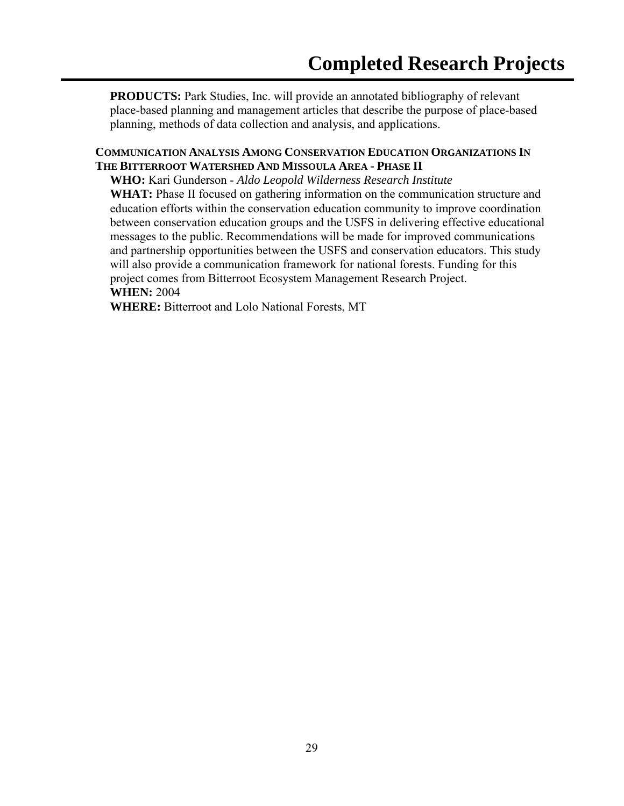**PRODUCTS:** Park Studies, Inc. will provide an annotated bibliography of relevant place-based planning and management articles that describe the purpose of place-based planning, methods of data collection and analysis, and applications.

#### **COMMUNICATION ANALYSIS AMONG CONSERVATION EDUCATION ORGANIZATIONS IN THE BITTERROOT WATERSHED AND MISSOULA AREA - PHASE II**

**WHO:** Kari Gunderson - *Aldo Leopold Wilderness Research Institute*

**WHAT:** Phase II focused on gathering information on the communication structure and education efforts within the conservation education community to improve coordination between conservation education groups and the USFS in delivering effective educational messages to the public. Recommendations will be made for improved communications and partnership opportunities between the USFS and conservation educators. This study will also provide a communication framework for national forests. Funding for this project comes from Bitterroot Ecosystem Management Research Project.

#### **WHEN:** 2004

**WHERE:** Bitterroot and Lolo National Forests, MT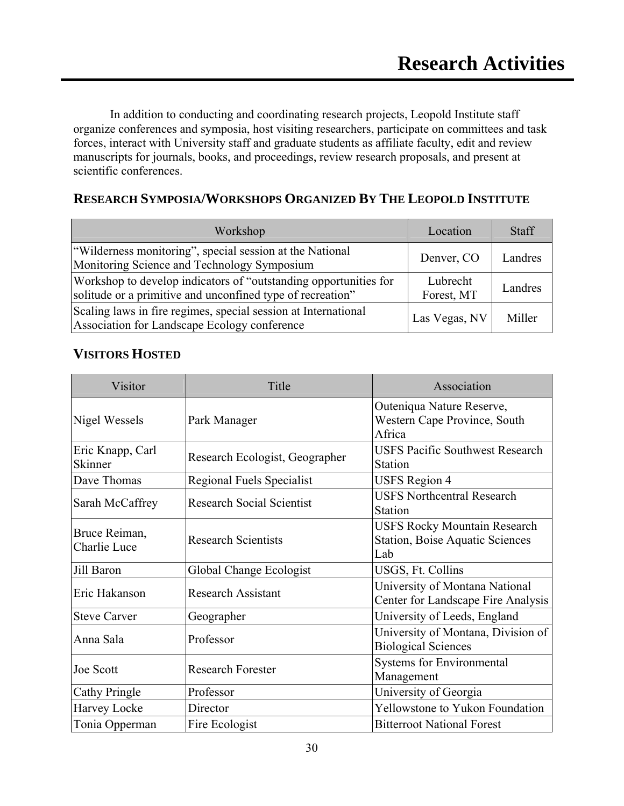In addition to conducting and coordinating research projects, Leopold Institute staff organize conferences and symposia, host visiting researchers, participate on committees and task forces, interact with University staff and graduate students as affiliate faculty, edit and review manuscripts for journals, books, and proceedings, review research proposals, and present at scientific conferences.

## **RESEARCH SYMPOSIA/WORKSHOPS ORGANIZED BY THE LEOPOLD INSTITUTE**

| Workshop                                                                                                                       | Location               | <b>Staff</b> |
|--------------------------------------------------------------------------------------------------------------------------------|------------------------|--------------|
| "Wilderness monitoring", special session at the National<br>Monitoring Science and Technology Symposium                        | Denver, CO             | Landres      |
| Workshop to develop indicators of "outstanding opportunities for<br>solitude or a primitive and unconfined type of recreation" | Lubrecht<br>Forest, MT | Landres      |
| Scaling laws in fire regimes, special session at International<br>Association for Landscape Ecology conference                 | Las Vegas, NV          | Miller       |

### **VISITORS HOSTED**

| Visitor                       | Title                            | Association                                                                          |
|-------------------------------|----------------------------------|--------------------------------------------------------------------------------------|
| Nigel Wessels                 | Park Manager                     | Outeniqua Nature Reserve,<br>Western Cape Province, South<br>Africa                  |
| Eric Knapp, Carl<br>Skinner   | Research Ecologist, Geographer   | <b>USFS Pacific Southwest Research</b><br>Station                                    |
| Dave Thomas                   | Regional Fuels Specialist        | <b>USFS</b> Region 4                                                                 |
| Sarah McCaffrey               | <b>Research Social Scientist</b> | <b>USFS Northcentral Research</b><br>Station                                         |
| Bruce Reiman,<br>Charlie Luce | <b>Research Scientists</b>       | <b>USFS Rocky Mountain Research</b><br><b>Station, Boise Aquatic Sciences</b><br>Lab |
| Jill Baron                    | Global Change Ecologist          | USGS, Ft. Collins                                                                    |
| Eric Hakanson                 | <b>Research Assistant</b>        | University of Montana National<br>Center for Landscape Fire Analysis                 |
| <b>Steve Carver</b>           | Geographer                       | University of Leeds, England                                                         |
| Anna Sala                     | Professor                        | University of Montana, Division of<br><b>Biological Sciences</b>                     |
| Joe Scott                     | <b>Research Forester</b>         | Systems for Environmental<br>Management                                              |
| <b>Cathy Pringle</b>          | Professor                        | University of Georgia                                                                |
| Harvey Locke                  | Director                         | Yellowstone to Yukon Foundation                                                      |
| Tonia Opperman                | Fire Ecologist                   | <b>Bitterroot National Forest</b>                                                    |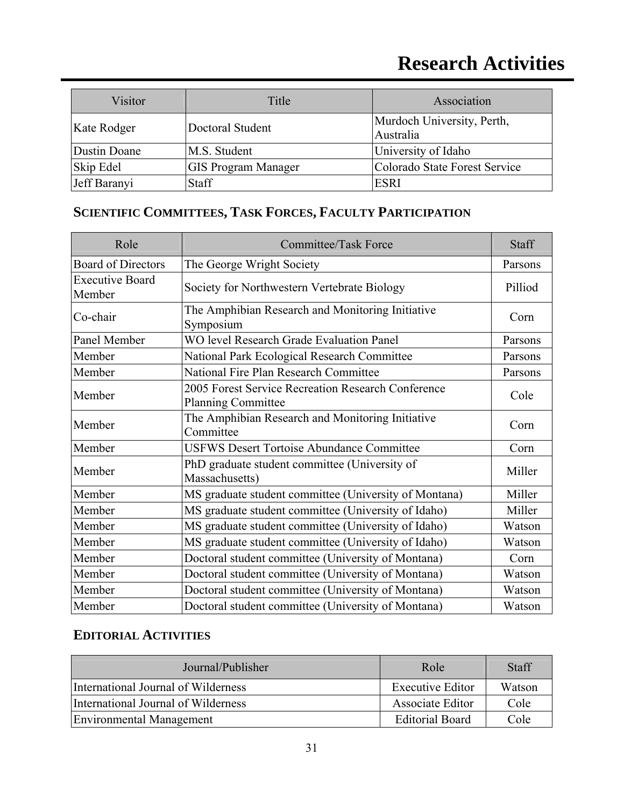| Visitor      | Title                      | Association                             |
|--------------|----------------------------|-----------------------------------------|
| Kate Rodger  | Doctoral Student           | Murdoch University, Perth,<br>Australia |
| Dustin Doane | M.S. Student               | University of Idaho                     |
| Skip Edel    | <b>GIS Program Manager</b> | Colorado State Forest Service           |
| Jeff Baranyi | Staff                      | <b>ESRI</b>                             |

## **SCIENTIFIC COMMITTEES, TASK FORCES, FACULTY PARTICIPATION**

| Role                             | <b>Committee/Task Force</b>                                                     |         |
|----------------------------------|---------------------------------------------------------------------------------|---------|
| <b>Board of Directors</b>        | The George Wright Society                                                       | Parsons |
| <b>Executive Board</b><br>Member | Society for Northwestern Vertebrate Biology                                     | Pilliod |
| Co-chair                         | The Amphibian Research and Monitoring Initiative<br>Symposium                   | Corn    |
| Panel Member                     | <b>WO level Research Grade Evaluation Panel</b>                                 | Parsons |
| Member                           | National Park Ecological Research Committee                                     | Parsons |
| Member                           | National Fire Plan Research Committee                                           | Parsons |
| Member                           | 2005 Forest Service Recreation Research Conference<br><b>Planning Committee</b> | Cole    |
| Member                           | The Amphibian Research and Monitoring Initiative<br>Committee                   | Corn    |
| Member                           | <b>USFWS Desert Tortoise Abundance Committee</b>                                | Corn    |
| Member                           | PhD graduate student committee (University of<br>Massachusetts)                 | Miller  |
| Member                           | MS graduate student committee (University of Montana)                           | Miller  |
| Member                           | MS graduate student committee (University of Idaho)                             | Miller  |
| Member                           | MS graduate student committee (University of Idaho)                             | Watson  |
| Member                           | MS graduate student committee (University of Idaho)                             | Watson  |
| Member                           | Doctoral student committee (University of Montana)                              | Corn    |
| Member                           | Doctoral student committee (University of Montana)                              | Watson  |
| Member                           | Doctoral student committee (University of Montana)                              | Watson  |
| Member                           | Doctoral student committee (University of Montana)                              | Watson  |

## **EDITORIAL ACTIVITIES**

| Journal/Publisher                   | Role                    | Staff  |
|-------------------------------------|-------------------------|--------|
| International Journal of Wilderness | <b>Executive Editor</b> | Watson |
| International Journal of Wilderness | Associate Editor        | Cole   |
| Environmental Management            | <b>Editorial Board</b>  | Cole   |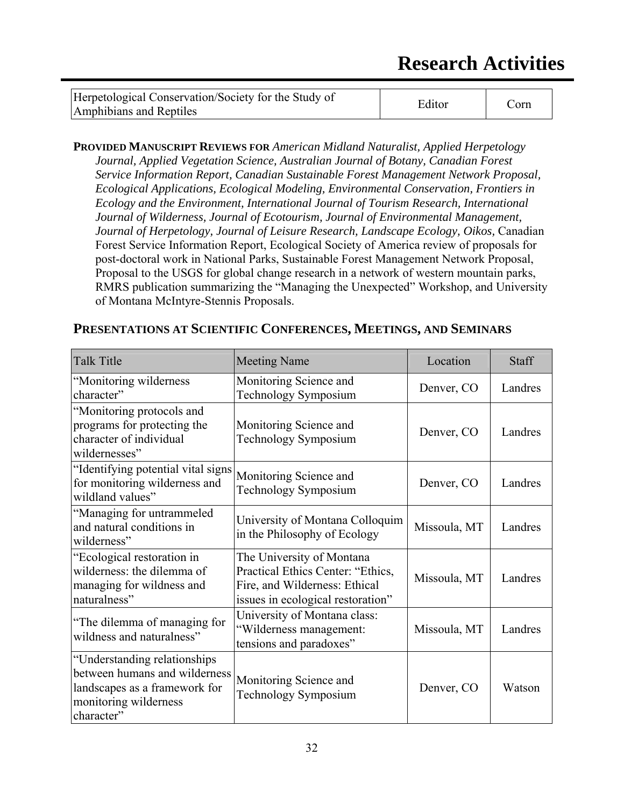| Herpetological Conservation/Society for the Study of | Editor | Corn |
|------------------------------------------------------|--------|------|
| Amphibians and Reptiles                              |        |      |

**PROVIDED MANUSCRIPT REVIEWS FOR** *American Midland Naturalist, Applied Herpetology Journal, Applied Vegetation Science, Australian Journal of Botany, Canadian Forest Service Information Report, Canadian Sustainable Forest Management Network Proposal, Ecological Applications, Ecological Modeling, Environmental Conservation, Frontiers in Ecology and the Environment, International Journal of Tourism Research, International Journal of Wilderness, Journal of Ecotourism, Journal of Environmental Management, Journal of Herpetology, Journal of Leisure Research, Landscape Ecology, Oikos,* Canadian Forest Service Information Report, Ecological Society of America review of proposals for post-doctoral work in National Parks, Sustainable Forest Management Network Proposal, Proposal to the USGS for global change research in a network of western mountain parks, RMRS publication summarizing the "Managing the Unexpected" Workshop, and University of Montana McIntyre-Stennis Proposals.

| PRESENTATIONS AT SCIENTIFIC CONFERENCES, MEETINGS, AND SEMINARS |  |
|-----------------------------------------------------------------|--|
|-----------------------------------------------------------------|--|

| <b>Talk Title</b>                                                                                                                     | <b>Meeting Name</b>                                                                                                                  | Location     | <b>Staff</b> |
|---------------------------------------------------------------------------------------------------------------------------------------|--------------------------------------------------------------------------------------------------------------------------------------|--------------|--------------|
| "Monitoring wilderness<br>character"                                                                                                  | Monitoring Science and<br><b>Technology Symposium</b>                                                                                | Denver, CO   | Landres      |
| "Monitoring protocols and<br>programs for protecting the<br>character of individual<br>wildernesses"                                  | Monitoring Science and<br><b>Technology Symposium</b>                                                                                | Denver, CO   | Landres      |
| "Identifying potential vital signs<br>for monitoring wilderness and<br>wildland values"                                               | Monitoring Science and<br><b>Technology Symposium</b>                                                                                | Denver, CO   | Landres      |
| "Managing for untrammeled<br>and natural conditions in<br>wilderness"                                                                 | University of Montana Colloquim<br>in the Philosophy of Ecology                                                                      | Missoula, MT | Landres      |
| "Ecological restoration in<br>wilderness: the dilemma of<br>managing for wildness and<br>naturalness"                                 | The University of Montana<br>Practical Ethics Center: "Ethics,<br>Fire, and Wilderness: Ethical<br>issues in ecological restoration" | Missoula, MT | Landres      |
| "The dilemma of managing for<br>wildness and naturalness"                                                                             | University of Montana class:<br>"Wilderness management:<br>tensions and paradoxes"                                                   | Missoula, MT | Landres      |
| "Understanding relationships<br>between humans and wilderness<br>landscapes as a framework for<br>monitoring wilderness<br>character" | Monitoring Science and<br><b>Technology Symposium</b>                                                                                | Denver, CO   | Watson       |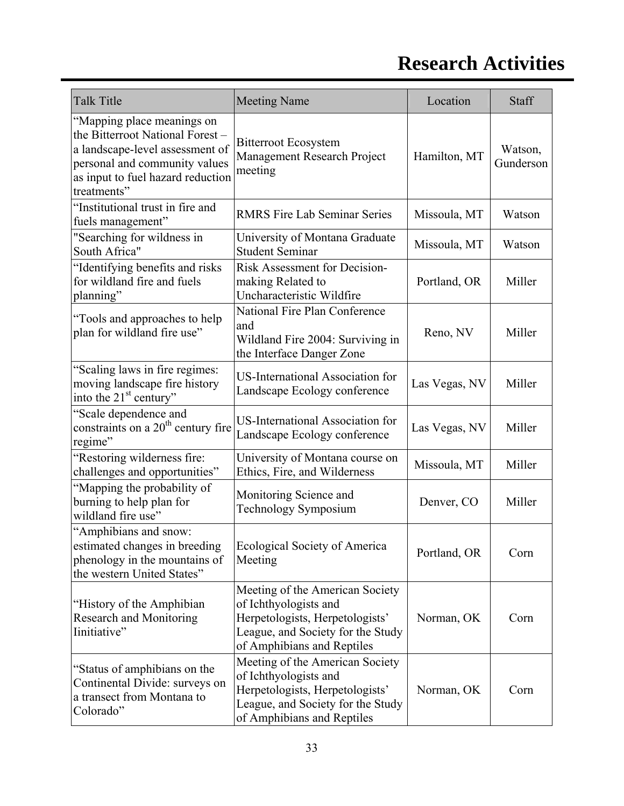| <b>Talk Title</b>                                                                                                                                                                     | <b>Meeting Name</b>                                                                                                                                            | Location      | Staff                |
|---------------------------------------------------------------------------------------------------------------------------------------------------------------------------------------|----------------------------------------------------------------------------------------------------------------------------------------------------------------|---------------|----------------------|
| "Mapping place meanings on<br>the Bitterroot National Forest-<br>a landscape-level assessment of<br>personal and community values<br>as input to fuel hazard reduction<br>treatments" | <b>Bitterroot Ecosystem</b><br>Management Research Project<br>meeting                                                                                          | Hamilton, MT  | Watson,<br>Gunderson |
| "Institutional trust in fire and<br>fuels management"                                                                                                                                 | <b>RMRS Fire Lab Seminar Series</b>                                                                                                                            | Missoula, MT  | Watson               |
| "Searching for wildness in<br>South Africa"                                                                                                                                           | University of Montana Graduate<br><b>Student Seminar</b>                                                                                                       | Missoula, MT  | Watson               |
| "Identifying benefits and risks<br>for wildland fire and fuels<br>planning"                                                                                                           | Risk Assessment for Decision-<br>making Related to<br>Uncharacteristic Wildfire                                                                                | Portland, OR  | Miller               |
| "Tools and approaches to help<br>plan for wildland fire use"                                                                                                                          | National Fire Plan Conference<br>and<br>Wildland Fire 2004: Surviving in<br>the Interface Danger Zone                                                          | Reno, NV      | Miller               |
| "Scaling laws in fire regimes:<br>moving landscape fire history<br>into the 21 <sup>st</sup> century"                                                                                 | <b>US-International Association for</b><br>Landscape Ecology conference                                                                                        | Las Vegas, NV | Miller               |
| "Scale dependence and<br>constraints on a 20 <sup>th</sup> century fire<br>regime"                                                                                                    | US-International Association for<br>Landscape Ecology conference                                                                                               | Las Vegas, NV | Miller               |
| "Restoring wilderness fire:<br>challenges and opportunities"                                                                                                                          | University of Montana course on<br>Ethics, Fire, and Wilderness                                                                                                | Missoula, MT  | Miller               |
| "Mapping the probability of<br>burning to help plan for<br>wildland fire use"                                                                                                         | Monitoring Science and<br>Technology Symposium                                                                                                                 | Denver, CO    | Miller               |
| "Amphibians and snow:<br>estimated changes in breeding<br>phenology in the mountains of<br>the western United States"                                                                 | <b>Ecological Society of America</b><br>Meeting                                                                                                                | Portland, OR  | Corn                 |
| "History of the Amphibian"<br>Research and Monitoring<br>Iinitiative"                                                                                                                 | Meeting of the American Society<br>of Ichthyologists and<br>Herpetologists, Herpetologists'<br>League, and Society for the Study<br>of Amphibians and Reptiles | Norman, OK    | Corn                 |
| "Status of amphibians on the<br>Continental Divide: surveys on<br>a transect from Montana to<br>Colorado"                                                                             | Meeting of the American Society<br>of Ichthyologists and<br>Herpetologists, Herpetologists'<br>League, and Society for the Study<br>of Amphibians and Reptiles | Norman, OK    | Corn                 |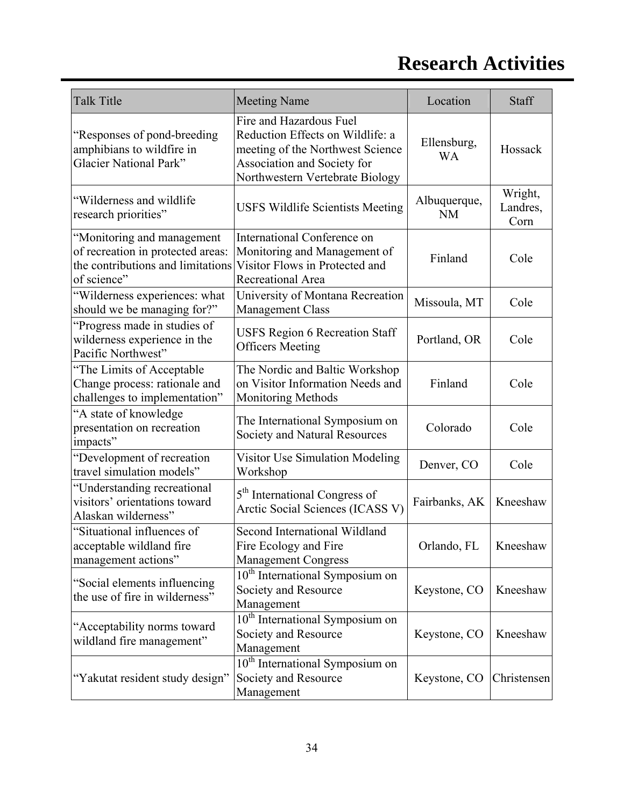| <b>Talk Title</b>                                                                                                   | <b>Meeting Name</b>                                                                                                                                               | Location                  | Staff                       |
|---------------------------------------------------------------------------------------------------------------------|-------------------------------------------------------------------------------------------------------------------------------------------------------------------|---------------------------|-----------------------------|
| "Responses of pond-breeding<br>amphibians to wildfire in<br><b>Glacier National Park"</b>                           | Fire and Hazardous Fuel<br>Reduction Effects on Wildlife: a<br>meeting of the Northwest Science<br>Association and Society for<br>Northwestern Vertebrate Biology | Ellensburg,<br><b>WA</b>  | Hossack                     |
| "Wilderness and wildlife"<br>research priorities"                                                                   | <b>USFS Wildlife Scientists Meeting</b>                                                                                                                           | Albuquerque,<br><b>NM</b> | Wright,<br>Landres,<br>Corn |
| "Monitoring and management<br>of recreation in protected areas:<br>the contributions and limitations<br>of science" | <b>International Conference on</b><br>Monitoring and Management of<br>Visitor Flows in Protected and<br>Recreational Area                                         | Finland                   | Cole                        |
| "Wilderness experiences: what<br>should we be managing for?"                                                        | University of Montana Recreation<br>Management Class                                                                                                              | Missoula, MT              | Cole                        |
| "Progress made in studies of<br>wilderness experience in the<br>Pacific Northwest"                                  | <b>USFS Region 6 Recreation Staff</b><br><b>Officers Meeting</b>                                                                                                  | Portland, OR              | Cole                        |
| "The Limits of Acceptable<br>Change process: rationale and<br>challenges to implementation"                         | The Nordic and Baltic Workshop<br>on Visitor Information Needs and<br><b>Monitoring Methods</b>                                                                   | Finland                   | Cole                        |
| "A state of knowledge<br>presentation on recreation<br>impacts"                                                     | The International Symposium on<br>Society and Natural Resources                                                                                                   | Colorado                  | Cole                        |
| "Development of recreation<br>travel simulation models"                                                             | <b>Visitor Use Simulation Modeling</b><br>Workshop                                                                                                                | Denver, CO                | Cole                        |
| "Understanding recreational<br>visitors' orientations toward<br>Alaskan wilderness"                                 | 5 <sup>th</sup> International Congress of<br>Arctic Social Sciences (ICASS V)                                                                                     | Fairbanks, AK             | Kneeshaw                    |
| "Situational influences of<br>acceptable wildland fire<br>management actions"                                       | Second International Wildland<br>Fire Ecology and Fire<br><b>Management Congress</b>                                                                              | Orlando, FL               | Kneeshaw                    |
| "Social elements influencing<br>the use of fire in wilderness"                                                      | 10 <sup>th</sup> International Symposium on<br>Society and Resource<br>Management                                                                                 | Keystone, CO              | Kneeshaw                    |
| "Acceptability norms toward<br>wildland fire management"                                                            | 10 <sup>th</sup> International Symposium on<br>Society and Resource<br>Management                                                                                 | Keystone, CO              | Kneeshaw                    |
| "Yakutat resident study design"                                                                                     | 10 <sup>th</sup> International Symposium on<br>Society and Resource<br>Management                                                                                 | Keystone, CO              | Christensen                 |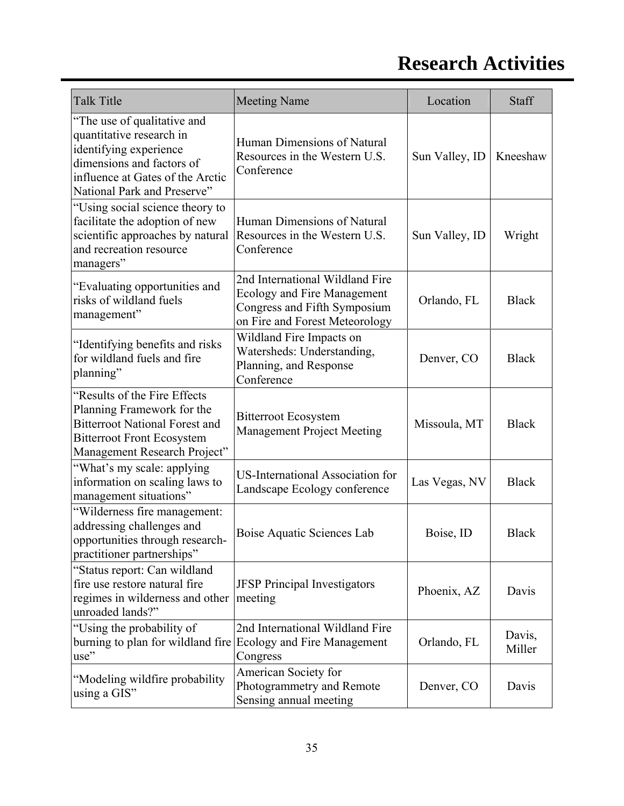| <b>Talk Title</b>                                                                                                                                                                 | <b>Meeting Name</b>                                                                                                                     | Location       | <b>Staff</b>     |
|-----------------------------------------------------------------------------------------------------------------------------------------------------------------------------------|-----------------------------------------------------------------------------------------------------------------------------------------|----------------|------------------|
| "The use of qualitative and<br>quantitative research in<br>identifying experience<br>dimensions and factors of<br>influence at Gates of the Arctic<br>National Park and Preserve" | Human Dimensions of Natural<br>Resources in the Western U.S.<br>Conference                                                              | Sun Valley, ID | Kneeshaw         |
| "Using social science theory to<br>facilitate the adoption of new<br>scientific approaches by natural<br>and recreation resource<br>managers"                                     | Human Dimensions of Natural<br>Resources in the Western U.S.<br>Conference                                                              | Sun Valley, ID | Wright           |
| "Evaluating opportunities and<br>risks of wildland fuels<br>management"                                                                                                           | 2nd International Wildland Fire<br><b>Ecology and Fire Management</b><br>Congress and Fifth Symposium<br>on Fire and Forest Meteorology | Orlando, FL    | <b>Black</b>     |
| "Identifying benefits and risks<br>for wildland fuels and fire<br>planning"                                                                                                       | Wildland Fire Impacts on<br>Watersheds: Understanding,<br>Planning, and Response<br>Conference                                          | Denver, CO     | <b>Black</b>     |
| "Results of the Fire Effects<br>Planning Framework for the<br><b>Bitterroot National Forest and</b><br><b>Bitterroot Front Ecosystem</b><br>Management Research Project"          | <b>Bitterroot Ecosystem</b><br><b>Management Project Meeting</b>                                                                        | Missoula, MT   | <b>Black</b>     |
| "What's my scale: applying<br>information on scaling laws to<br>management situations"                                                                                            | <b>US-International Association for</b><br>Landscape Ecology conference                                                                 | Las Vegas, NV  | <b>Black</b>     |
| "Wilderness fire management:<br>addressing challenges and<br>opportunities through research-<br>practitioner partnerships"                                                        | Boise Aquatic Sciences Lab                                                                                                              | Boise, ID      | <b>Black</b>     |
| "Status report: Can wildland<br>fire use restore natural fire<br>regimes in wilderness and other<br>unroaded lands?"                                                              | <b>JFSP</b> Principal Investigators<br>meeting                                                                                          | Phoenix, AZ    | Davis            |
| "Using the probability of<br>burning to plan for wildland fire<br>use"                                                                                                            | 2nd International Wildland Fire<br><b>Ecology and Fire Management</b><br>Congress                                                       | Orlando, FL    | Davis,<br>Miller |
| "Modeling wildfire probability"<br>using a GIS"                                                                                                                                   | American Society for<br>Photogrammetry and Remote<br>Sensing annual meeting                                                             | Denver, CO     | Davis            |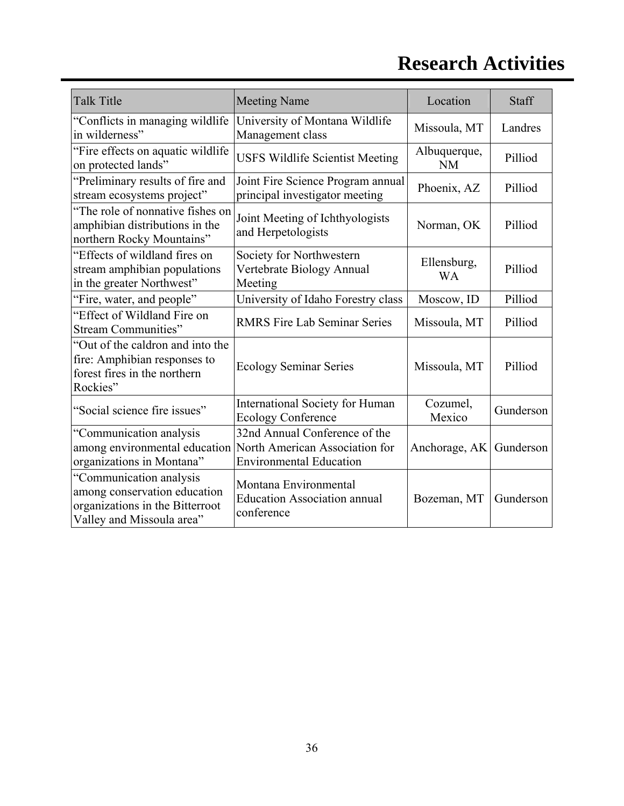| <b>Talk Title</b>                                                                                                       | <b>Meeting Name</b>                                                                               | Location                  | Staff     |
|-------------------------------------------------------------------------------------------------------------------------|---------------------------------------------------------------------------------------------------|---------------------------|-----------|
| "Conflicts in managing wildlife<br>in wilderness"                                                                       | University of Montana Wildlife<br>Management class                                                | Missoula, MT              | Landres   |
| "Fire effects on aquatic wildlife"<br>on protected lands"                                                               | <b>USFS Wildlife Scientist Meeting</b>                                                            | Albuquerque,<br><b>NM</b> | Pilliod   |
| "Preliminary results of fire and<br>stream ecosystems project"                                                          | Joint Fire Science Program annual<br>principal investigator meeting                               | Phoenix, AZ               | Pilliod   |
| "The role of nonnative fishes on<br>amphibian distributions in the<br>northern Rocky Mountains"                         | Joint Meeting of Ichthyologists<br>and Herpetologists                                             | Norman, OK                | Pilliod   |
| "Effects of wildland fires on<br>stream amphibian populations<br>in the greater Northwest"                              | Society for Northwestern<br>Vertebrate Biology Annual<br>Meeting                                  | Ellensburg,<br>WA         | Pilliod   |
| "Fire, water, and people"                                                                                               | University of Idaho Forestry class                                                                | Moscow, ID                | Pilliod   |
| "Effect of Wildland Fire on<br><b>Stream Communities"</b>                                                               | <b>RMRS Fire Lab Seminar Series</b>                                                               | Missoula, MT              | Pilliod   |
| "Out of the caldron and into the<br>fire: Amphibian responses to<br>forest fires in the northern<br>Rockies"            | <b>Ecology Seminar Series</b>                                                                     | Missoula, MT              | Pilliod   |
| "Social science fire issues"                                                                                            | <b>International Society for Human</b><br><b>Ecology Conference</b>                               | Cozumel,<br>Mexico        | Gunderson |
| "Communication analysis<br>among environmental education<br>organizations in Montana"                                   | 32nd Annual Conference of the<br>North American Association for<br><b>Environmental Education</b> | Anchorage, AK             | Gunderson |
| "Communication analysis<br>among conservation education<br>organizations in the Bitterroot<br>Valley and Missoula area" | Montana Environmental<br><b>Education Association annual</b><br>conference                        | Bozeman, MT               | Gunderson |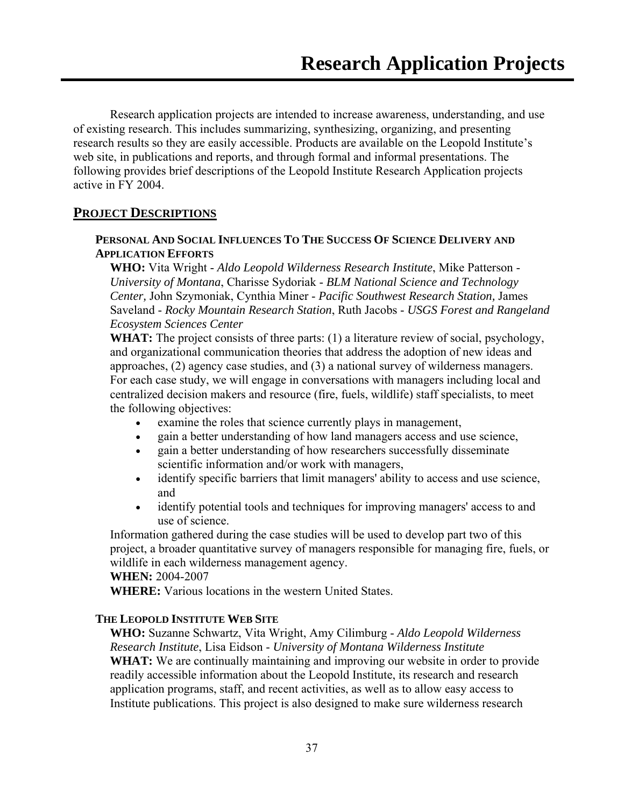Research application projects are intended to increase awareness, understanding, and use of existing research. This includes summarizing, synthesizing, organizing, and presenting research results so they are easily accessible. Products are available on the Leopold Institute's web site, in publications and reports, and through formal and informal presentations. The following provides brief descriptions of the Leopold Institute Research Application projects active in FY 2004.

### **PROJECT DESCRIPTIONS**

#### **PERSONAL AND SOCIAL INFLUENCES TO THE SUCCESS OF SCIENCE DELIVERY AND APPLICATION EFFORTS**

**WHO:** Vita Wright - *Aldo Leopold Wilderness Research Institute*, Mike Patterson - *University of Montana*, Charisse Sydoriak - *BLM National Science and Technology Center,* John Szymoniak, Cynthia Miner - *Pacific Southwest Research Station,* James Saveland - *Rocky Mountain Research Station*, Ruth Jacobs - *USGS Forest and Rangeland Ecosystem Sciences Center*

**WHAT:** The project consists of three parts: (1) a literature review of social, psychology, and organizational communication theories that address the adoption of new ideas and approaches, (2) agency case studies, and (3) a national survey of wilderness managers. For each case study, we will engage in conversations with managers including local and centralized decision makers and resource (fire, fuels, wildlife) staff specialists, to meet the following objectives:

- examine the roles that science currently plays in management,
- gain a better understanding of how land managers access and use science,
- gain a better understanding of how researchers successfully disseminate scientific information and/or work with managers,
- identify specific barriers that limit managers' ability to access and use science, and
- identify potential tools and techniques for improving managers' access to and use of science.

Information gathered during the case studies will be used to develop part two of this project, a broader quantitative survey of managers responsible for managing fire, fuels, or wildlife in each wilderness management agency.

#### **WHEN:** 2004-2007

**WHERE:** Various locations in the western United States.

#### **THE LEOPOLD INSTITUTE WEB SITE**

**WHO:** Suzanne Schwartz, Vita Wright, Amy Cilimburg - *Aldo Leopold Wilderness Research Institute*, Lisa Eidson - *University of Montana Wilderness Institute* **WHAT:** We are continually maintaining and improving our website in order to provide readily accessible information about the Leopold Institute, its research and research application programs, staff, and recent activities, as well as to allow easy access to Institute publications. This project is also designed to make sure wilderness research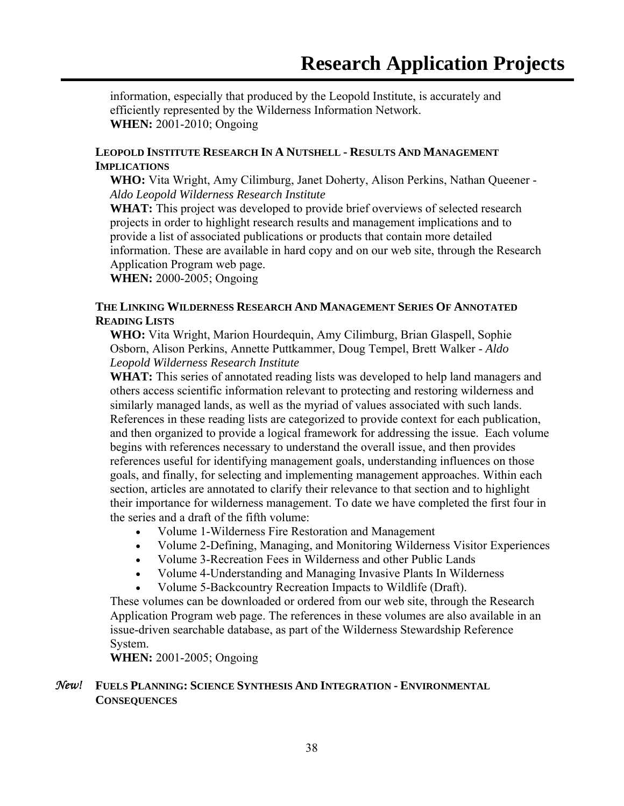information, especially that produced by the Leopold Institute, is accurately and efficiently represented by the Wilderness Information Network. **WHEN:** 2001-2010; Ongoing

#### **LEOPOLD INSTITUTE RESEARCH IN A NUTSHELL - RESULTS AND MANAGEMENT IMPLICATIONS**

**WHO:** Vita Wright, Amy Cilimburg, Janet Doherty, Alison Perkins, Nathan Queener - *Aldo Leopold Wilderness Research Institute*

**WHAT:** This project was developed to provide brief overviews of selected research projects in order to highlight research results and management implications and to provide a list of associated publications or products that contain more detailed information. These are available in hard copy and on our web site, through the Research Application Program web page.

**WHEN:** 2000-2005; Ongoing

#### **THE LINKING WILDERNESS RESEARCH AND MANAGEMENT SERIES OF ANNOTATED READING LISTS**

**WHO:** Vita Wright, Marion Hourdequin, Amy Cilimburg, Brian Glaspell, Sophie Osborn, Alison Perkins, Annette Puttkammer, Doug Tempel, Brett Walker - *Aldo Leopold Wilderness Research Institute*

**WHAT:** This series of annotated reading lists was developed to help land managers and others access scientific information relevant to protecting and restoring wilderness and similarly managed lands, as well as the myriad of values associated with such lands. References in these reading lists are categorized to provide context for each publication, and then organized to provide a logical framework for addressing the issue. Each volume begins with references necessary to understand the overall issue, and then provides references useful for identifying management goals, understanding influences on those goals, and finally, for selecting and implementing management approaches. Within each section, articles are annotated to clarify their relevance to that section and to highlight their importance for wilderness management. To date we have completed the first four in the series and a draft of the fifth volume:

- Volume 1-Wilderness Fire Restoration and Management
- Volume 2-Defining, Managing, and Monitoring Wilderness Visitor Experiences
- Volume 3-Recreation Fees in Wilderness and other Public Lands
- Volume 4-Understanding and Managing Invasive Plants In Wilderness
- Volume 5-Backcountry Recreation Impacts to Wildlife (Draft).

These volumes can be downloaded or ordered from our web site, through the Research Application Program web page. The references in these volumes are also available in an issue-driven searchable database, as part of the Wilderness Stewardship Reference System.

**WHEN:** 2001-2005; Ongoing

#### *New!* **FUELS PLANNING: SCIENCE SYNTHESIS AND INTEGRATION - ENVIRONMENTAL CONSEQUENCES**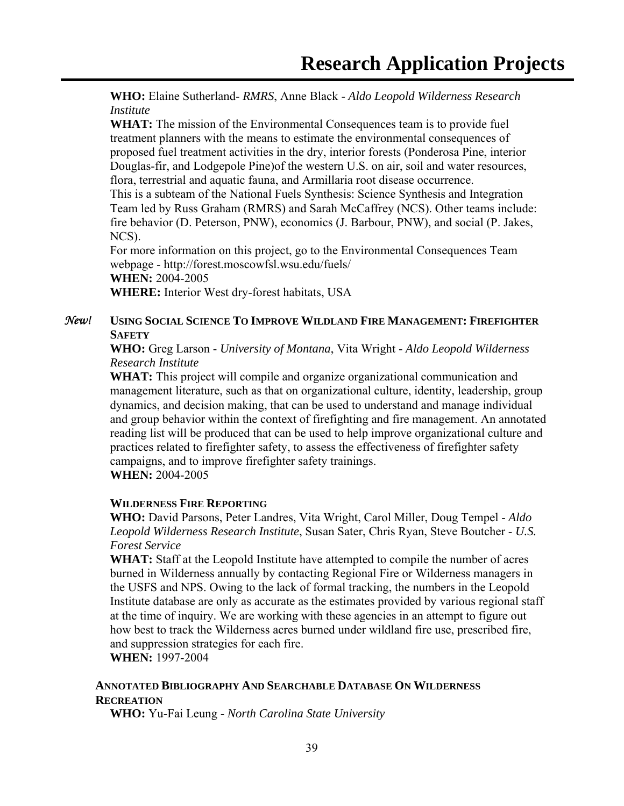**WHO:** Elaine Sutherland- *RMRS*, Anne Black - *Aldo Leopold Wilderness Research Institute*

**WHAT:** The mission of the Environmental Consequences team is to provide fuel treatment planners with the means to estimate the environmental consequences of proposed fuel treatment activities in the dry, interior forests (Ponderosa Pine, interior Douglas-fir, and Lodgepole Pine)of the western U.S. on air, soil and water resources, flora, terrestrial and aquatic fauna, and Armillaria root disease occurrence.

This is a subteam of the National Fuels Synthesis: Science Synthesis and Integration Team led by Russ Graham (RMRS) and Sarah McCaffrey (NCS). Other teams include: fire behavior (D. Peterson, PNW), economics (J. Barbour, PNW), and social (P. Jakes, NCS).

For more information on this project, go to the Environmental Consequences Team webpage - http://forest.moscowfsl.wsu.edu/fuels/ **WHEN:** 2004-2005

**WHERE:** Interior West dry-forest habitats, USA

#### *New!* **USING SOCIAL SCIENCE TO IMPROVE WILDLAND FIRE MANAGEMENT: FIREFIGHTER SAFETY**

**WHO:** Greg Larson - *University of Montana*, Vita Wright - *Aldo Leopold Wilderness Research Institute*

**WHAT:** This project will compile and organize organizational communication and management literature, such as that on organizational culture, identity, leadership, group dynamics, and decision making, that can be used to understand and manage individual and group behavior within the context of firefighting and fire management. An annotated reading list will be produced that can be used to help improve organizational culture and practices related to firefighter safety, to assess the effectiveness of firefighter safety campaigns, and to improve firefighter safety trainings.

**WHEN:** 2004-2005

#### **WILDERNESS FIRE REPORTING**

**WHO:** David Parsons, Peter Landres, Vita Wright, Carol Miller, Doug Tempel - *Aldo Leopold Wilderness Research Institute*, Susan Sater, Chris Ryan, Steve Boutcher - *U.S. Forest Service*

**WHAT:** Staff at the Leopold Institute have attempted to compile the number of acres burned in Wilderness annually by contacting Regional Fire or Wilderness managers in the USFS and NPS. Owing to the lack of formal tracking, the numbers in the Leopold Institute database are only as accurate as the estimates provided by various regional staff at the time of inquiry. We are working with these agencies in an attempt to figure out how best to track the Wilderness acres burned under wildland fire use, prescribed fire, and suppression strategies for each fire.

**WHEN:** 1997-2004

### **ANNOTATED BIBLIOGRAPHY AND SEARCHABLE DATABASE ON WILDERNESS RECREATION**

**WHO:** Yu-Fai Leung - *North Carolina State University*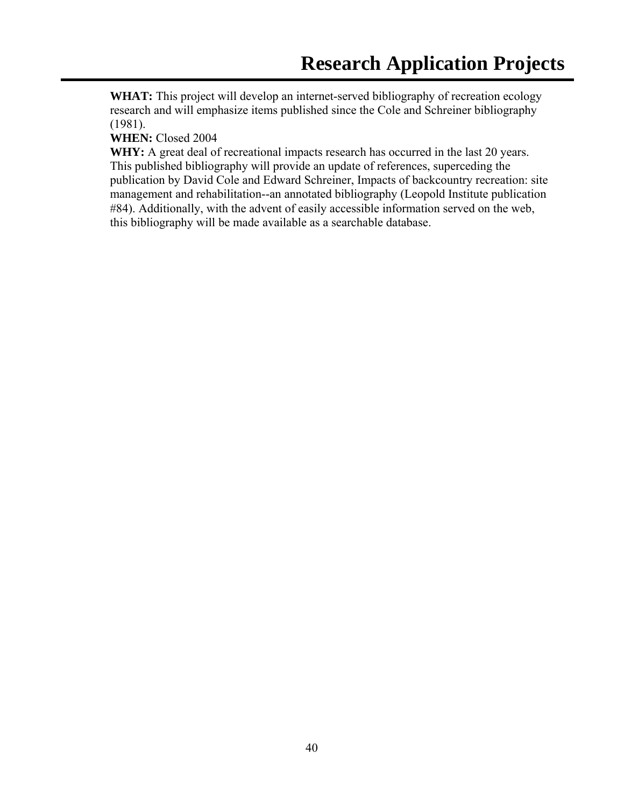**WHAT:** This project will develop an internet-served bibliography of recreation ecology research and will emphasize items published since the Cole and Schreiner bibliography (1981).

**WHEN:** Closed 2004

WHY: A great deal of recreational impacts research has occurred in the last 20 years. This published bibliography will provide an update of references, superceding the publication by David Cole and Edward Schreiner, Impacts of backcountry recreation: site management and rehabilitation--an annotated bibliography (Leopold Institute publication #84). Additionally, with the advent of easily accessible information served on the web, this bibliography will be made available as a searchable database.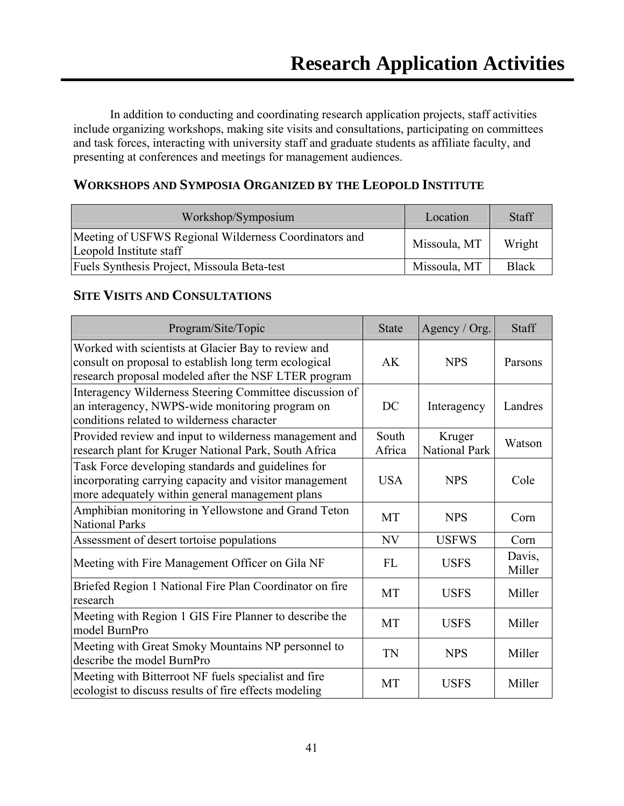In addition to conducting and coordinating research application projects, staff activities include organizing workshops, making site visits and consultations, participating on committees and task forces, interacting with university staff and graduate students as affiliate faculty, and presenting at conferences and meetings for management audiences.

### **WORKSHOPS AND SYMPOSIA ORGANIZED BY THE LEOPOLD INSTITUTE**

| Workshop/Symposium                                                               | Location     | Staff        |
|----------------------------------------------------------------------------------|--------------|--------------|
| Meeting of USFWS Regional Wilderness Coordinators and<br>Leopold Institute staff | Missoula, MT | Wright       |
| Fuels Synthesis Project, Missoula Beta-test                                      | Missoula, MT | <b>Black</b> |

### **SITE VISITS AND CONSULTATIONS**

| Program/Site/Topic                                                                                                                                                   | <b>State</b>    | Agency / Org.                  | <b>Staff</b>     |
|----------------------------------------------------------------------------------------------------------------------------------------------------------------------|-----------------|--------------------------------|------------------|
| Worked with scientists at Glacier Bay to review and<br>consult on proposal to establish long term ecological<br>research proposal modeled after the NSF LTER program | <b>AK</b>       | <b>NPS</b>                     | Parsons          |
| Interagency Wilderness Steering Committee discussion of<br>an interagency, NWPS-wide monitoring program on<br>conditions related to wilderness character             | DC              | Interagency                    | Landres          |
| Provided review and input to wilderness management and<br>research plant for Kruger National Park, South Africa                                                      | South<br>Africa | Kruger<br><b>National Park</b> | Watson           |
| Task Force developing standards and guidelines for<br>incorporating carrying capacity and visitor management<br>more adequately within general management plans      | <b>USA</b>      | <b>NPS</b>                     | Cole             |
| Amphibian monitoring in Yellowstone and Grand Teton<br><b>National Parks</b>                                                                                         | <b>MT</b>       | <b>NPS</b>                     | Corn             |
| Assessment of desert tortoise populations                                                                                                                            | <b>NV</b>       | <b>USFWS</b>                   | Corn             |
| Meeting with Fire Management Officer on Gila NF                                                                                                                      | <b>FL</b>       | <b>USFS</b>                    | Davis,<br>Miller |
| Briefed Region 1 National Fire Plan Coordinator on fire<br>research                                                                                                  | <b>MT</b>       | <b>USFS</b>                    | Miller           |
| Meeting with Region 1 GIS Fire Planner to describe the<br>model BurnPro                                                                                              | <b>MT</b>       | <b>USFS</b>                    | Miller           |
| Meeting with Great Smoky Mountains NP personnel to<br>describe the model BurnPro                                                                                     | <b>TN</b>       | <b>NPS</b>                     | Miller           |
| Meeting with Bitterroot NF fuels specialist and fire<br>ecologist to discuss results of fire effects modeling                                                        | <b>MT</b>       | <b>USFS</b>                    | Miller           |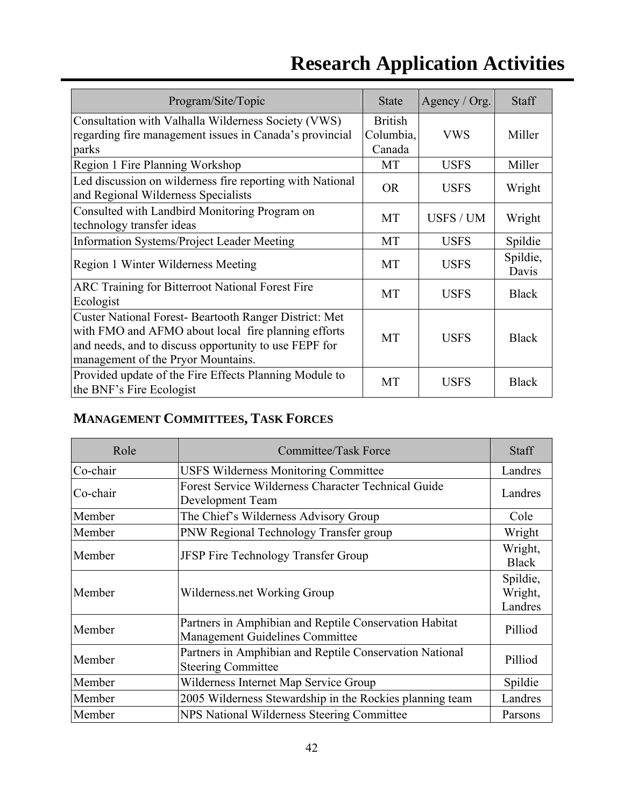| Program/Site/Topic                                                                                                                                                                                          | <b>State</b>                          | Agency / Org. | <b>Staff</b>      |
|-------------------------------------------------------------------------------------------------------------------------------------------------------------------------------------------------------------|---------------------------------------|---------------|-------------------|
| Consultation with Valhalla Wilderness Society (VWS)<br>regarding fire management issues in Canada's provincial<br>parks                                                                                     | <b>British</b><br>Columbia,<br>Canada | <b>VWS</b>    | Miller            |
| Region 1 Fire Planning Workshop                                                                                                                                                                             | <b>MT</b>                             | <b>USFS</b>   | Miller            |
| Led discussion on wilderness fire reporting with National<br>and Regional Wilderness Specialists                                                                                                            | <b>OR</b>                             | <b>USFS</b>   | Wright            |
| Consulted with Landbird Monitoring Program on<br>technology transfer ideas                                                                                                                                  | MT                                    | USFS / UM     | Wright            |
| <b>Information Systems/Project Leader Meeting</b>                                                                                                                                                           | MT                                    | <b>USFS</b>   | Spildie           |
| Region 1 Winter Wilderness Meeting                                                                                                                                                                          | MT                                    | <b>USFS</b>   | Spildie,<br>Davis |
| ARC Training for Bitterroot National Forest Fire<br>Ecologist                                                                                                                                               | MT                                    | <b>USFS</b>   | <b>Black</b>      |
| Custer National Forest-Beartooth Ranger District: Met<br>with FMO and AFMO about local fire planning efforts<br>and needs, and to discuss opportunity to use FEPF for<br>management of the Pryor Mountains. | MT                                    | <b>USFS</b>   | <b>Black</b>      |
| Provided update of the Fire Effects Planning Module to<br>the BNF's Fire Ecologist                                                                                                                          | <b>MT</b>                             | <b>USFS</b>   | <b>Black</b>      |

## **MANAGEMENT COMMITTEES, TASK FORCES**

| Role     | Committee/Task Force                                                                      | <b>Staff</b>                   |
|----------|-------------------------------------------------------------------------------------------|--------------------------------|
| Co-chair | <b>USFS Wilderness Monitoring Committee</b>                                               | Landres                        |
| Co-chair | Forest Service Wilderness Character Technical Guide<br>Development Team                   | Landres                        |
| Member   | The Chief's Wilderness Advisory Group                                                     | Cole                           |
| Member   | PNW Regional Technology Transfer group                                                    | Wright                         |
| Member   | JFSP Fire Technology Transfer Group                                                       | Wright,<br><b>Black</b>        |
| Member   | Wilderness.net Working Group                                                              | Spildie,<br>Wright,<br>Landres |
| Member   | Partners in Amphibian and Reptile Conservation Habitat<br>Management Guidelines Committee | Pilliod                        |
| Member   | Partners in Amphibian and Reptile Conservation National<br><b>Steering Committee</b>      | Pilliod                        |
| Member   | Wilderness Internet Map Service Group                                                     | Spildie                        |
| Member   | 2005 Wilderness Stewardship in the Rockies planning team                                  | Landres                        |
| Member   | NPS National Wilderness Steering Committee                                                | Parsons                        |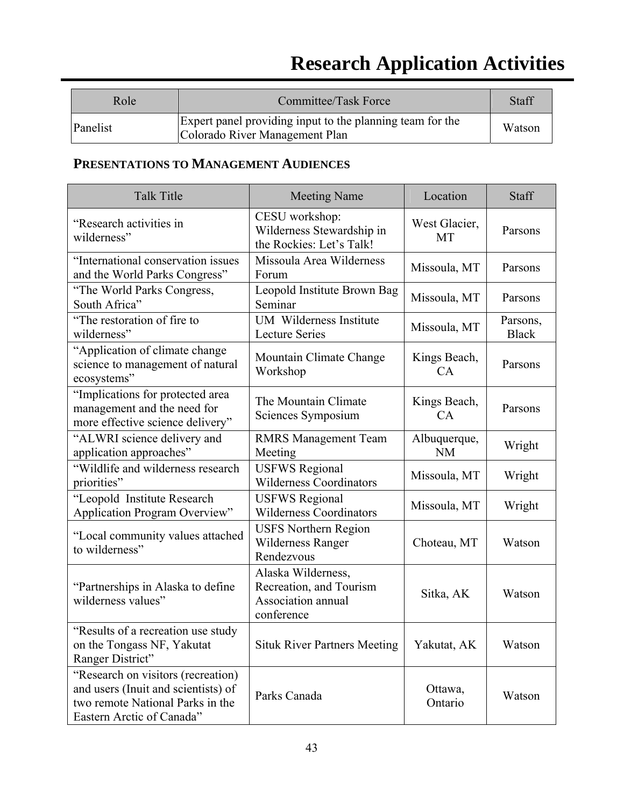| Role     | Committee/Task Force                                                                        | Staff  |
|----------|---------------------------------------------------------------------------------------------|--------|
| Panelist | Expert panel providing input to the planning team for the<br>Colorado River Management Plan | Watson |

## **PRESENTATIONS TO MANAGEMENT AUDIENCES**

| <b>Talk Title</b>                                                                                                                          | <b>Meeting Name</b>                                                               | Location                   | Staff                    |
|--------------------------------------------------------------------------------------------------------------------------------------------|-----------------------------------------------------------------------------------|----------------------------|--------------------------|
| "Research activities in<br>wilderness"                                                                                                     | CESU workshop:<br>Wilderness Stewardship in<br>the Rockies: Let's Talk!           | West Glacier,<br><b>MT</b> | Parsons                  |
| "International conservation issues<br>and the World Parks Congress"                                                                        | Missoula Area Wilderness<br>Forum                                                 | Missoula, MT               | Parsons                  |
| "The World Parks Congress,<br>South Africa"                                                                                                | Leopold Institute Brown Bag<br>Seminar                                            | Missoula, MT               | Parsons                  |
| "The restoration of fire to<br>wilderness"                                                                                                 | UM Wilderness Institute<br><b>Lecture Series</b>                                  | Missoula, MT               | Parsons,<br><b>Black</b> |
| "Application of climate change<br>science to management of natural<br>ecosystems"                                                          | Mountain Climate Change<br>Workshop                                               | Kings Beach,<br>CA         | Parsons                  |
| "Implications for protected area<br>management and the need for<br>more effective science delivery"                                        | The Mountain Climate<br>Sciences Symposium                                        | Kings Beach,<br>CA         | Parsons                  |
| "ALWRI science delivery and<br>application approaches"                                                                                     | <b>RMRS Management Team</b><br>Meeting                                            | Albuquerque,<br><b>NM</b>  | Wright                   |
| "Wildlife and wilderness research<br>priorities"                                                                                           | <b>USFWS Regional</b><br><b>Wilderness Coordinators</b>                           | Missoula, MT               | Wright                   |
| "Leopold Institute Research<br>Application Program Overview"                                                                               | <b>USFWS Regional</b><br><b>Wilderness Coordinators</b>                           | Missoula, MT               | Wright                   |
| "Local community values attached<br>to wilderness"                                                                                         | <b>USFS Northern Region</b><br><b>Wilderness Ranger</b><br>Rendezvous             | Choteau, MT                | Watson                   |
| "Partnerships in Alaska to define"<br>wilderness values"                                                                                   | Alaska Wilderness,<br>Recreation, and Tourism<br>Association annual<br>conference | Sitka, AK                  | Watson                   |
| "Results of a recreation use study"<br>on the Tongass NF, Yakutat<br>Ranger District"                                                      | <b>Situk River Partners Meeting</b>                                               | Yakutat, AK                | Watson                   |
| "Research on visitors (recreation)<br>and users (Inuit and scientists) of<br>two remote National Parks in the<br>Eastern Arctic of Canada" | Parks Canada                                                                      | Ottawa,<br>Ontario         | Watson                   |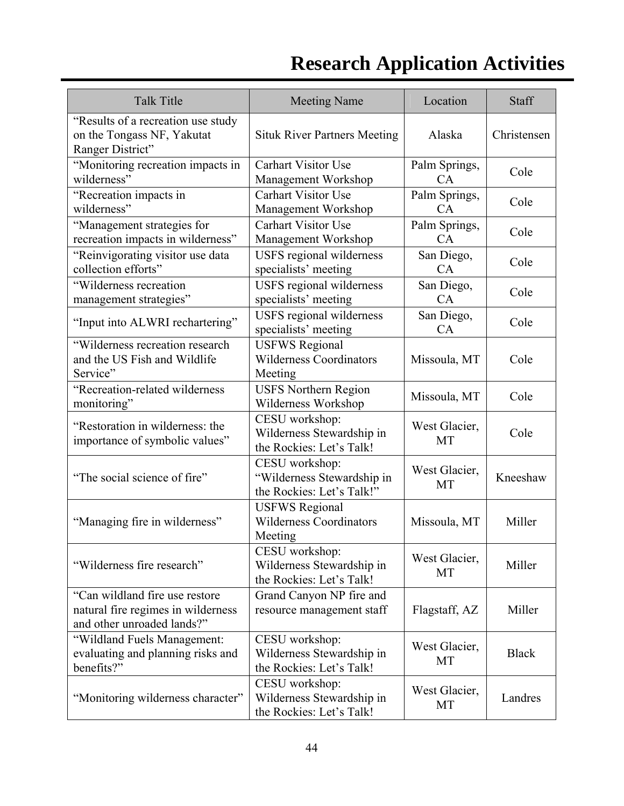| <b>Talk Title</b>                                                                                   | <b>Meeting Name</b>                                                       | Location            | Staff        |
|-----------------------------------------------------------------------------------------------------|---------------------------------------------------------------------------|---------------------|--------------|
| "Results of a recreation use study<br>on the Tongass NF, Yakutat<br>Ranger District"                | <b>Situk River Partners Meeting</b>                                       | Alaska              | Christensen  |
| "Monitoring recreation impacts in<br>wilderness"                                                    | <b>Carhart Visitor Use</b><br>Management Workshop                         | Palm Springs,<br>CA | Cole         |
| "Recreation impacts in<br>wilderness"                                                               | <b>Carhart Visitor Use</b><br>Management Workshop                         | Palm Springs,<br>CA | Cole         |
| "Management strategies for<br>recreation impacts in wilderness"                                     | <b>Carhart Visitor Use</b><br>Management Workshop                         | Palm Springs,<br>CA | Cole         |
| "Reinvigorating visitor use data<br>collection efforts"                                             | USFS regional wilderness<br>specialists' meeting                          | San Diego,<br>CA    | Cole         |
| "Wilderness recreation<br>management strategies"                                                    | <b>USFS</b> regional wilderness<br>specialists' meeting                   | San Diego,<br>CA    | Cole         |
| "Input into ALWRI rechartering"                                                                     | <b>USFS</b> regional wilderness<br>specialists' meeting                   | San Diego,<br>CA    | Cole         |
| "Wilderness recreation research<br>and the US Fish and Wildlife<br>Service"                         | <b>USFWS Regional</b><br><b>Wilderness Coordinators</b><br>Meeting        | Missoula, MT        | Cole         |
| "Recreation-related wilderness<br>monitoring"                                                       | <b>USFS Northern Region</b><br>Wilderness Workshop                        | Missoula, MT        | Cole         |
| "Restoration in wilderness: the<br>importance of symbolic values"                                   | CESU workshop:<br>Wilderness Stewardship in<br>the Rockies: Let's Talk!   | West Glacier,<br>MT | Cole         |
| "The social science of fire"                                                                        | CESU workshop:<br>"Wilderness Stewardship in<br>the Rockies: Let's Talk!" | West Glacier,<br>MT | Kneeshaw     |
| "Managing fire in wilderness"                                                                       | <b>USFWS Regional</b><br><b>Wilderness Coordinators</b><br>Meeting        | Missoula, MT        | Miller       |
| "Wilderness fire research"                                                                          | CESU workshop:<br>Wilderness Stewardship in<br>the Rockies: Let's Talk!   | West Glacier,<br>MT | Miller       |
| "Can wildland fire use restore"<br>natural fire regimes in wilderness<br>and other unroaded lands?" | Grand Canyon NP fire and<br>resource management staff                     | Flagstaff, AZ       | Miller       |
| "Wildland Fuels Management:<br>evaluating and planning risks and<br>benefits?"                      | CESU workshop:<br>Wilderness Stewardship in<br>the Rockies: Let's Talk!   | West Glacier,<br>MT | <b>Black</b> |
| "Monitoring wilderness character"                                                                   | CESU workshop:<br>Wilderness Stewardship in<br>the Rockies: Let's Talk!   | West Glacier,<br>MT | Landres      |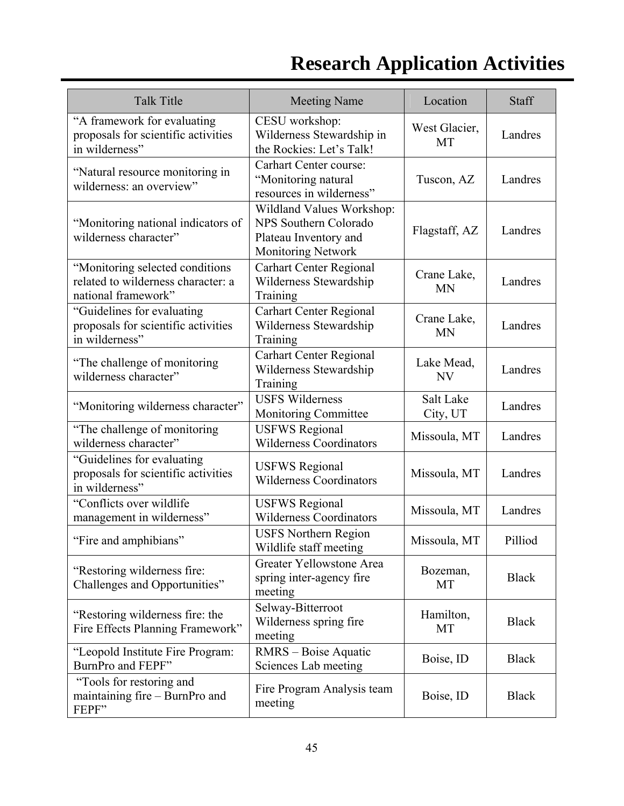| <b>Talk Title</b>                                                                            | <b>Meeting Name</b>                                                                                             | Location                 | Staff        |
|----------------------------------------------------------------------------------------------|-----------------------------------------------------------------------------------------------------------------|--------------------------|--------------|
| "A framework for evaluating<br>proposals for scientific activities<br>in wilderness"         | CESU workshop:<br>Wilderness Stewardship in<br>the Rockies: Let's Talk!                                         | West Glacier,<br>MT      | Landres      |
| "Natural resource monitoring in<br>wilderness: an overview"                                  | Carhart Center course:<br>"Monitoring natural<br>resources in wilderness"                                       | Tuscon, AZ               | Landres      |
| "Monitoring national indicators of<br>wilderness character"                                  | Wildland Values Workshop:<br><b>NPS Southern Colorado</b><br>Plateau Inventory and<br><b>Monitoring Network</b> | Flagstaff, AZ            | Landres      |
| "Monitoring selected conditions<br>related to wilderness character: a<br>national framework" | <b>Carhart Center Regional</b><br>Wilderness Stewardship<br>Training                                            | Crane Lake,<br><b>MN</b> | Landres      |
| "Guidelines for evaluating<br>proposals for scientific activities<br>in wilderness"          | <b>Carhart Center Regional</b><br>Wilderness Stewardship<br>Training                                            | Crane Lake,<br><b>MN</b> | Landres      |
| "The challenge of monitoring"<br>wilderness character"                                       | <b>Carhart Center Regional</b><br>Wilderness Stewardship<br>Training                                            | Lake Mead,<br>NV         | Landres      |
| "Monitoring wilderness character"                                                            | <b>USFS Wilderness</b><br>Monitoring Committee                                                                  | Salt Lake<br>City, UT    | Landres      |
| "The challenge of monitoring<br>wilderness character"                                        | <b>USFWS Regional</b><br><b>Wilderness Coordinators</b>                                                         | Missoula, MT             | Landres      |
| "Guidelines for evaluating<br>proposals for scientific activities<br>in wilderness"          | <b>USFWS Regional</b><br><b>Wilderness Coordinators</b>                                                         | Missoula, MT             | Landres      |
| "Conflicts over wildlife<br>management in wilderness"                                        | <b>USFWS Regional</b><br><b>Wilderness Coordinators</b>                                                         | Missoula, MT             | Landres      |
| "Fire and amphibians"                                                                        | <b>USFS Northern Region</b><br>Wildlife staff meeting                                                           | Missoula, MT             | Pilliod      |
| "Restoring wilderness fire:<br>Challenges and Opportunities"                                 | Greater Yellowstone Area<br>spring inter-agency fire<br>meeting                                                 | Bozeman,<br>MT           | <b>Black</b> |
| "Restoring wilderness fire: the<br>Fire Effects Planning Framework"                          | Selway-Bitterroot<br>Wilderness spring fire<br>meeting                                                          | Hamilton,<br>МT          | <b>Black</b> |
| "Leopold Institute Fire Program:<br>BurnPro and FEPF"                                        | RMRS – Boise Aquatic<br>Sciences Lab meeting                                                                    | Boise, ID                | <b>Black</b> |
| "Tools for restoring and<br>maintaining fire – BurnPro and<br>FEPF"                          | Fire Program Analysis team<br>meeting                                                                           | Boise, ID                | <b>Black</b> |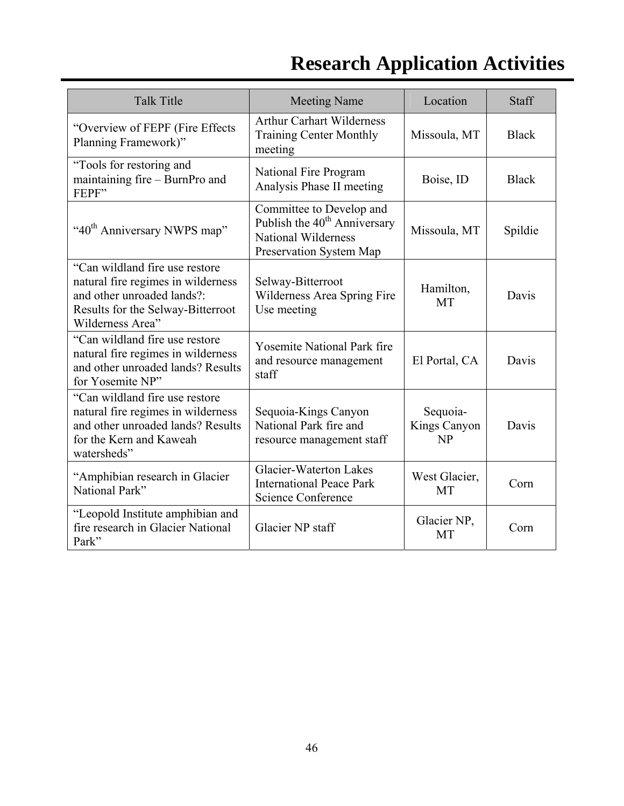| <b>Talk Title</b>                                                                                                                                           | <b>Meeting Name</b>                                                                                                 | Location                       | Staff        |
|-------------------------------------------------------------------------------------------------------------------------------------------------------------|---------------------------------------------------------------------------------------------------------------------|--------------------------------|--------------|
| "Overview of FEPF (Fire Effects<br>Planning Framework)"                                                                                                     | <b>Arthur Carhart Wilderness</b><br><b>Training Center Monthly</b><br>meeting                                       | Missoula, MT                   | <b>Black</b> |
| "Tools for restoring and<br>maintaining fire - BurnPro and<br>FEPF"                                                                                         | National Fire Program<br>Analysis Phase II meeting                                                                  | Boise, ID                      | <b>Black</b> |
| "40 <sup>th</sup> Anniversary NWPS map"                                                                                                                     | Committee to Develop and<br>Publish the $40th$ Anniversary<br><b>National Wilderness</b><br>Preservation System Map | Missoula, MT                   | Spildie      |
| "Can wildland fire use restore<br>natural fire regimes in wilderness<br>and other unroaded lands?:<br>Results for the Selway-Bitterroot<br>Wilderness Area" | Selway-Bitterroot<br>Wilderness Area Spring Fire<br>Use meeting                                                     | Hamilton,<br><b>MT</b>         | Davis        |
| "Can wildland fire use restore<br>natural fire regimes in wilderness<br>and other unroaded lands? Results<br>for Yosemite NP"                               | <b>Yosemite National Park fire</b><br>and resource management<br>staff                                              | El Portal, CA                  | Davis        |
| "Can wildland fire use restore"<br>natural fire regimes in wilderness<br>and other unroaded lands? Results<br>for the Kern and Kaweah<br>watersheds"        | Sequoia-Kings Canyon<br>National Park fire and<br>resource management staff                                         | Sequoia-<br>Kings Canyon<br>NP | Davis        |
| "Amphibian research in Glacier<br>National Park"                                                                                                            | <b>Glacier-Waterton Lakes</b><br><b>International Peace Park</b><br>Science Conference                              | West Glacier,<br><b>MT</b>     | Corn         |
| "Leopold Institute amphibian and<br>fire research in Glacier National<br>Park"                                                                              | Glacier NP staff                                                                                                    | Glacier NP,<br>MT              | Corn         |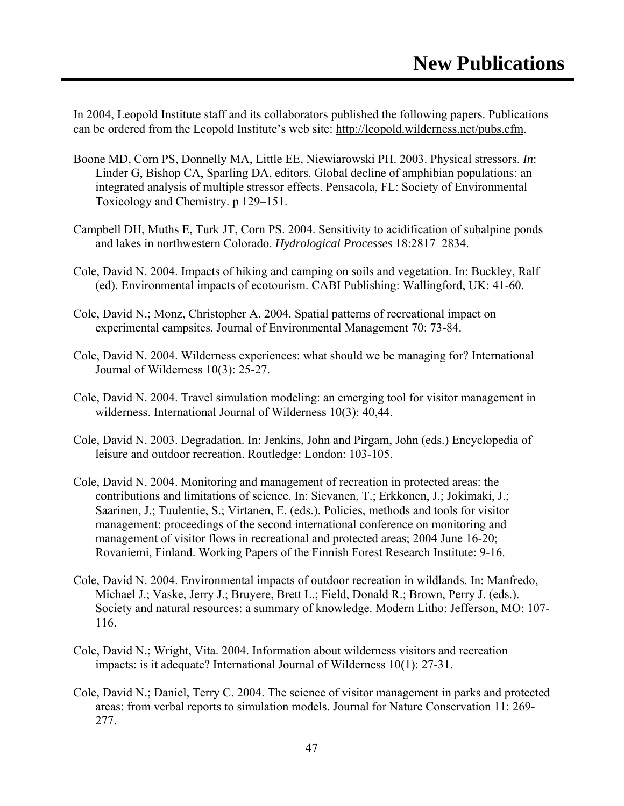In 2004, Leopold Institute staff and its collaborators published the following papers. Publications can be ordered from the Leopold Institute's web site: http://leopold.wilderness.net/pubs.cfm.

- Boone MD, Corn PS, Donnelly MA, Little EE, Niewiarowski PH. 2003. Physical stressors. *In*: Linder G, Bishop CA, Sparling DA, editors. Global decline of amphibian populations: an integrated analysis of multiple stressor effects. Pensacola, FL: Society of Environmental Toxicology and Chemistry. p 129–151.
- Campbell DH, Muths E, Turk JT, Corn PS. 2004. Sensitivity to acidification of subalpine ponds and lakes in northwestern Colorado. *Hydrological Processes* 18:2817–2834.
- Cole, David N. 2004. Impacts of hiking and camping on soils and vegetation. In: Buckley, Ralf (ed). Environmental impacts of ecotourism. CABI Publishing: Wallingford, UK: 41-60.
- Cole, David N.; Monz, Christopher A. 2004. Spatial patterns of recreational impact on experimental campsites. Journal of Environmental Management 70: 73-84.
- Cole, David N. 2004. Wilderness experiences: what should we be managing for? International Journal of Wilderness 10(3): 25-27.
- Cole, David N. 2004. Travel simulation modeling: an emerging tool for visitor management in wilderness. International Journal of Wilderness 10(3): 40,44.
- Cole, David N. 2003. Degradation. In: Jenkins, John and Pirgam, John (eds.) Encyclopedia of leisure and outdoor recreation. Routledge: London: 103-105.
- Cole, David N. 2004. Monitoring and management of recreation in protected areas: the contributions and limitations of science. In: Sievanen, T.; Erkkonen, J.; Jokimaki, J.; Saarinen, J.; Tuulentie, S.; Virtanen, E. (eds.). Policies, methods and tools for visitor management: proceedings of the second international conference on monitoring and management of visitor flows in recreational and protected areas; 2004 June 16-20; Rovaniemi, Finland. Working Papers of the Finnish Forest Research Institute: 9-16.
- Cole, David N. 2004. Environmental impacts of outdoor recreation in wildlands. In: Manfredo, Michael J.; Vaske, Jerry J.; Bruyere, Brett L.; Field, Donald R.; Brown, Perry J. (eds.). Society and natural resources: a summary of knowledge. Modern Litho: Jefferson, MO: 107- 116.
- Cole, David N.; Wright, Vita. 2004. Information about wilderness visitors and recreation impacts: is it adequate? International Journal of Wilderness 10(1): 27-31.
- Cole, David N.; Daniel, Terry C. 2004. The science of visitor management in parks and protected areas: from verbal reports to simulation models. Journal for Nature Conservation 11: 269- 277.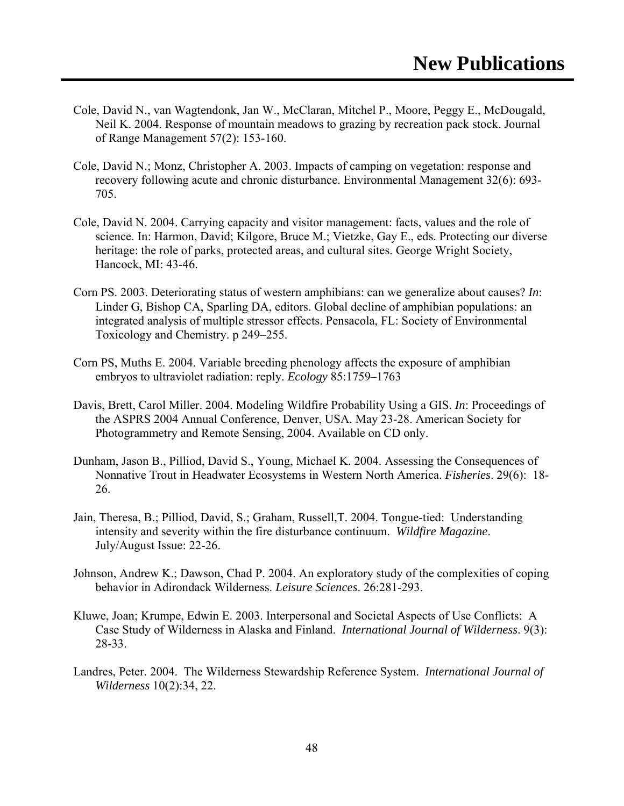- Cole, David N., van Wagtendonk, Jan W., McClaran, Mitchel P., Moore, Peggy E., McDougald, Neil K. 2004. Response of mountain meadows to grazing by recreation pack stock. Journal of Range Management 57(2): 153-160.
- Cole, David N.; Monz, Christopher A. 2003. Impacts of camping on vegetation: response and recovery following acute and chronic disturbance. Environmental Management 32(6): 693- 705.
- Cole, David N. 2004. Carrying capacity and visitor management: facts, values and the role of science. In: Harmon, David; Kilgore, Bruce M.; Vietzke, Gay E., eds. Protecting our diverse heritage: the role of parks, protected areas, and cultural sites. George Wright Society, Hancock, MI: 43-46.
- Corn PS. 2003. Deteriorating status of western amphibians: can we generalize about causes? *In*: Linder G, Bishop CA, Sparling DA, editors. Global decline of amphibian populations: an integrated analysis of multiple stressor effects. Pensacola, FL: Society of Environmental Toxicology and Chemistry. p 249–255.
- Corn PS, Muths E. 2004. Variable breeding phenology affects the exposure of amphibian embryos to ultraviolet radiation: reply. *Ecology* 85:1759–1763
- Davis, Brett, Carol Miller. 2004. Modeling Wildfire Probability Using a GIS. *In*: Proceedings of the ASPRS 2004 Annual Conference, Denver, USA. May 23-28. American Society for Photogrammetry and Remote Sensing, 2004. Available on CD only.
- Dunham, Jason B., Pilliod, David S., Young, Michael K. 2004. Assessing the Consequences of Nonnative Trout in Headwater Ecosystems in Western North America. *Fisheries*. 29(6): 18- 26.
- Jain, Theresa, B.; Pilliod, David, S.; Graham, Russell,T. 2004. Tongue-tied: Understanding intensity and severity within the fire disturbance continuum. *Wildfire Magazine*. July/August Issue: 22-26.
- Johnson, Andrew K.; Dawson, Chad P. 2004. An exploratory study of the complexities of coping behavior in Adirondack Wilderness. *Leisure Sciences*. 26:281-293.
- Kluwe, Joan; Krumpe, Edwin E. 2003. Interpersonal and Societal Aspects of Use Conflicts: A Case Study of Wilderness in Alaska and Finland. *International Journal of Wilderness*. 9(3): 28-33.
- Landres, Peter. 2004. The Wilderness Stewardship Reference System. *International Journal of Wilderness* 10(2):34, 22.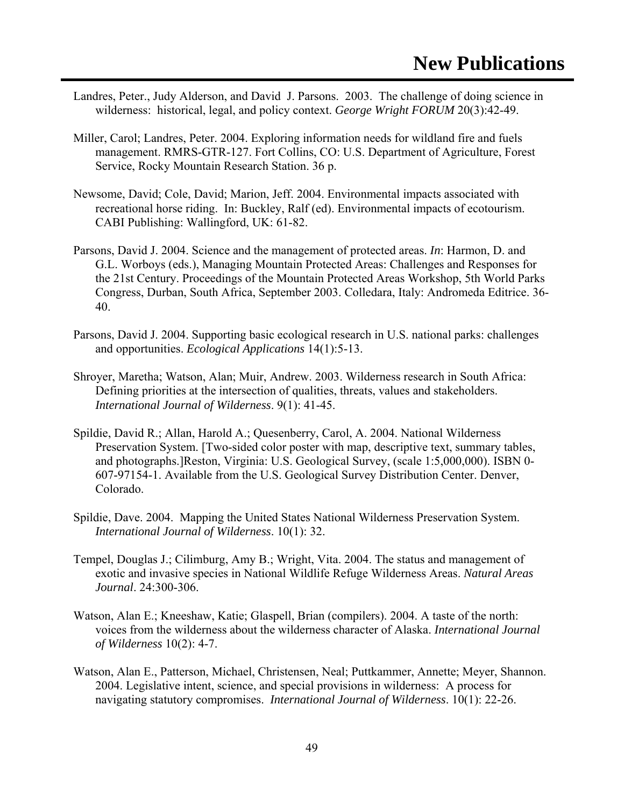- Landres, Peter., Judy Alderson, and David J. Parsons. 2003. The challenge of doing science in wilderness: historical, legal, and policy context. *George Wright FORUM* 20(3):42-49.
- Miller, Carol; Landres, Peter. 2004. Exploring information needs for wildland fire and fuels management. RMRS-GTR-127. Fort Collins, CO: U.S. Department of Agriculture, Forest Service, Rocky Mountain Research Station. 36 p.
- Newsome, David; Cole, David; Marion, Jeff. 2004. Environmental impacts associated with recreational horse riding. In: Buckley, Ralf (ed). Environmental impacts of ecotourism. CABI Publishing: Wallingford, UK: 61-82.
- Parsons, David J. 2004. Science and the management of protected areas. *In*: Harmon, D. and G.L. Worboys (eds.), Managing Mountain Protected Areas: Challenges and Responses for the 21st Century. Proceedings of the Mountain Protected Areas Workshop, 5th World Parks Congress, Durban, South Africa, September 2003. Colledara, Italy: Andromeda Editrice. 36- 40.
- Parsons, David J. 2004. Supporting basic ecological research in U.S. national parks: challenges and opportunities. *Ecological Applications* 14(1):5-13.
- Shroyer, Maretha; Watson, Alan; Muir, Andrew. 2003. Wilderness research in South Africa: Defining priorities at the intersection of qualities, threats, values and stakeholders. *International Journal of Wilderness*. 9(1): 41-45.
- Spildie, David R.; Allan, Harold A.; Quesenberry, Carol, A. 2004. National Wilderness Preservation System. [Two-sided color poster with map, descriptive text, summary tables, and photographs.]Reston, Virginia: U.S. Geological Survey, (scale 1:5,000,000). ISBN 0- 607-97154-1. Available from the U.S. Geological Survey Distribution Center. Denver, Colorado.
- Spildie, Dave. 2004. Mapping the United States National Wilderness Preservation System. *International Journal of Wilderness*. 10(1): 32.
- Tempel, Douglas J.; Cilimburg, Amy B.; Wright, Vita. 2004. The status and management of exotic and invasive species in National Wildlife Refuge Wilderness Areas. *Natural Areas Journal*. 24:300-306.
- Watson, Alan E.; Kneeshaw, Katie; Glaspell, Brian (compilers). 2004. A taste of the north: voices from the wilderness about the wilderness character of Alaska. *International Journal of Wilderness* 10(2): 4-7.
- Watson, Alan E., Patterson, Michael, Christensen, Neal; Puttkammer, Annette; Meyer, Shannon. 2004. Legislative intent, science, and special provisions in wilderness: A process for navigating statutory compromises. *International Journal of Wilderness*. 10(1): 22-26.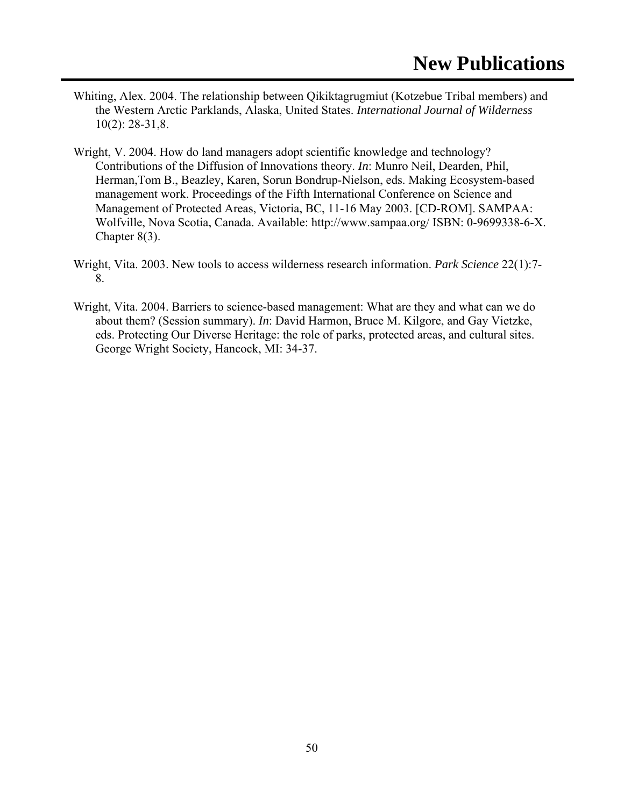- Whiting, Alex. 2004. The relationship between Qikiktagrugmiut (Kotzebue Tribal members) and the Western Arctic Parklands, Alaska, United States. *International Journal of Wilderness*  10(2): 28-31,8.
- Wright, V. 2004. How do land managers adopt scientific knowledge and technology? Contributions of the Diffusion of Innovations theory. *In*: Munro Neil, Dearden, Phil, Herman,Tom B., Beazley, Karen, Sorun Bondrup-Nielson, eds. Making Ecosystem-based management work. Proceedings of the Fifth International Conference on Science and Management of Protected Areas, Victoria, BC, 11-16 May 2003. [CD-ROM]. SAMPAA: Wolfville, Nova Scotia, Canada. Available: http://www.sampaa.org/ ISBN: 0-9699338-6-X. Chapter 8(3).
- Wright, Vita. 2003. New tools to access wilderness research information. *Park Science* 22(1):7- 8.
- Wright, Vita. 2004. Barriers to science-based management: What are they and what can we do about them? (Session summary). *In*: David Harmon, Bruce M. Kilgore, and Gay Vietzke, eds. Protecting Our Diverse Heritage: the role of parks, protected areas, and cultural sites. George Wright Society, Hancock, MI: 34-37.